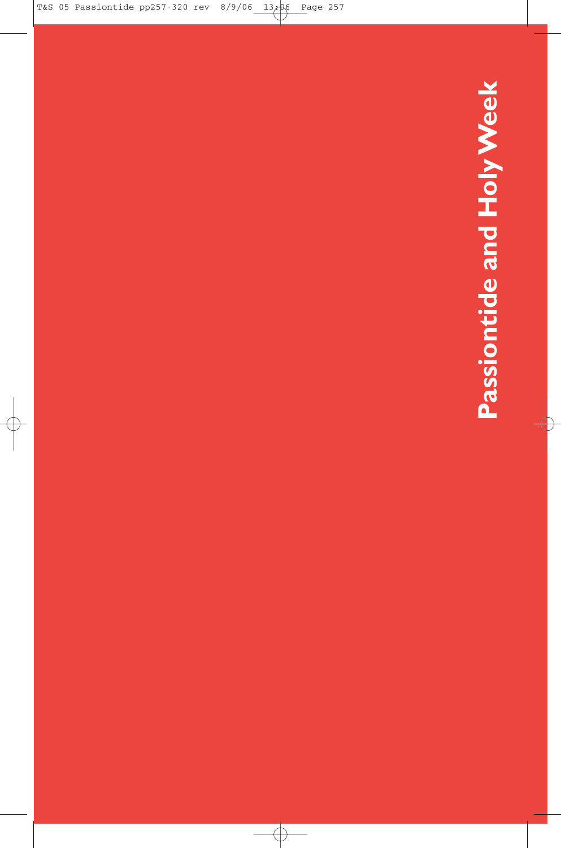# Passiontide and Holy Week **Passiontide and HolyWeek**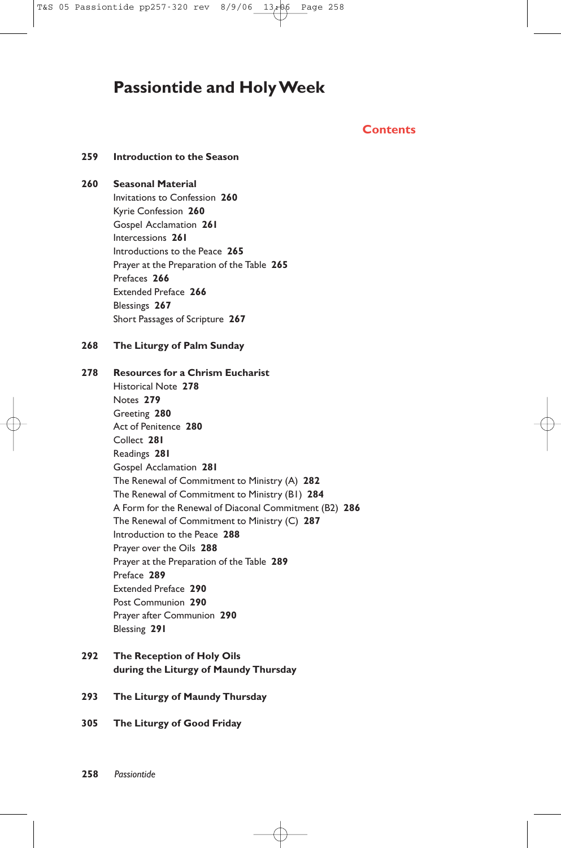# **Passiontide and Holy Week**

#### **Contents**

#### **259 Introduction to the Season 260 Seasonal Material** Invitations to Confession **260** Kyrie Confession **260** Gospel Acclamation **261** Intercessions **261** Introductions to the Peace **265** Prayer at the Preparation of the Table **265** Prefaces **266** Extended Preface **266** Blessings **267** Short Passages of Scripture **267 268 The Liturgy of Palm Sunday 278 Resources for a Chrism Eucharist** Historical Note **278** Notes **279** Greeting **280** Act of Penitence **280** Collect **281** Readings **281** Gospel Acclamation **281** The Renewal of Commitment to Ministry (A) **282** The Renewal of Commitment to Ministry (B1) **284** A Form for the Renewal of Diaconal Commitment (B2) **286** The Renewal of Commitment to Ministry (C) **287** Introduction to the Peace **288** Prayer over the Oils **288** Prayer at the Preparation of the Table **289** Preface **289** Extended Preface **290** Post Communion **290** Prayer after Communion **290** Blessing **291**

- **292 The Reception of Holy Oils during the Liturgy of Maundy Thursday**
- **293 The Liturgy of Maundy Thursday**
- **305 The Liturgy of Good Friday**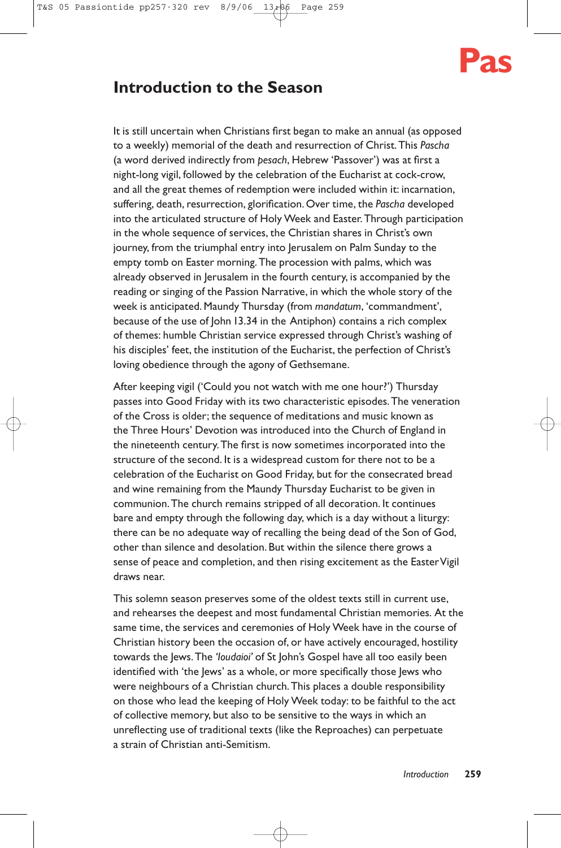

## **Introduction to the Season**

It is still uncertain when Christians first began to make an annual (as opposed to a weekly) memorial of the death and resurrection of Christ.This *Pascha* (a word derived indirectly from *pesach*, Hebrew 'Passover') was at first a night-long vigil, followed by the celebration of the Eucharist at cock-crow, and all the great themes of redemption were included within it: incarnation, suffering, death, resurrection, glorification. Over time, the *Pascha* developed into the articulated structure of Holy Week and Easter.Through participation in the whole sequence of services, the Christian shares in Christ's own journey, from the triumphal entry into Jerusalem on Palm Sunday to the empty tomb on Easter morning.The procession with palms, which was already observed in Jerusalem in the fourth century, is accompanied by the reading or singing of the Passion Narrative, in which the whole story of the week is anticipated. Maundy Thursday (from *mandatum*, 'commandment', because of the use of John 13.34 in the Antiphon) contains a rich complex of themes: humble Christian service expressed through Christ's washing of his disciples' feet, the institution of the Eucharist, the perfection of Christ's loving obedience through the agony of Gethsemane.

After keeping vigil ('Could you not watch with me one hour?') Thursday passes into Good Friday with its two characteristic episodes.The veneration of the Cross is older; the sequence of meditations and music known as the Three Hours' Devotion was introduced into the Church of England in the nineteenth century.The first is now sometimes incorporated into the structure of the second. It is a widespread custom for there not to be a celebration of the Eucharist on Good Friday, but for the consecrated bread and wine remaining from the Maundy Thursday Eucharist to be given in communion.The church remains stripped of all decoration. It continues bare and empty through the following day, which is a day without a liturgy: there can be no adequate way of recalling the being dead of the Son of God, other than silence and desolation. But within the silence there grows a sense of peace and completion, and then rising excitement as the Easter Vigil draws near.

This solemn season preserves some of the oldest texts still in current use, and rehearses the deepest and most fundamental Christian memories. At the same time, the services and ceremonies of Holy Week have in the course of Christian history been the occasion of, or have actively encouraged, hostility towards the Jews.The *'Ioudaioi'* of St John's Gospel have all too easily been identified with 'the Jews' as a whole, or more specifically those Jews who were neighbours of a Christian church.This places a double responsibility on those who lead the keeping of Holy Week today: to be faithful to the act of collective memory, but also to be sensitive to the ways in which an unreflecting use of traditional texts (like the Reproaches) can perpetuate a strain of Christian anti-Semitism.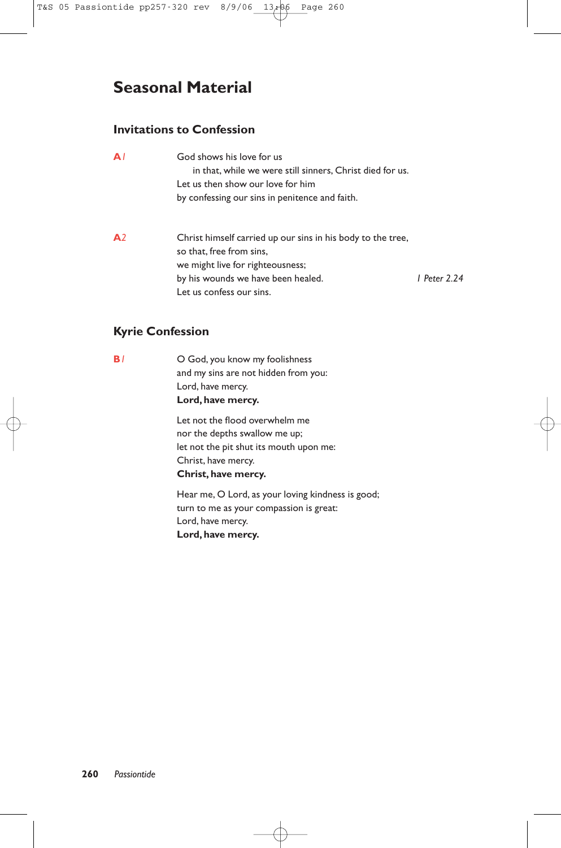# **Seasonal Material**

#### **Invitations to Confession**

| A۱            | God shows his love for us<br>in that, while we were still sinners, Christ died for us.<br>Let us then show our love for him |                  |
|---------------|-----------------------------------------------------------------------------------------------------------------------------|------------------|
|               | by confessing our sins in penitence and faith.                                                                              |                  |
| $\mathbf{A}2$ | Christ himself carried up our sins in his body to the tree,                                                                 |                  |
|               | so that, free from sins,<br>we might live for righteousness;                                                                |                  |
|               | by his wounds we have been healed.                                                                                          | $I$ Peter $2.24$ |
|               | Let us confess our sins.                                                                                                    |                  |

#### **Kyrie Confession**

**B**<sup>1</sup> O God, you know my foolishness and my sins are not hidden from you: Lord, have mercy. **Lord, have mercy.**

Let not the flood overwhelm me nor the depths swallow me up; let not the pit shut its mouth upon me: Christ, have mercy. **Christ, have mercy.**

Hear me, O Lord, as your loving kindness is good; turn to me as your compassion is great: Lord, have mercy. **Lord, have mercy.**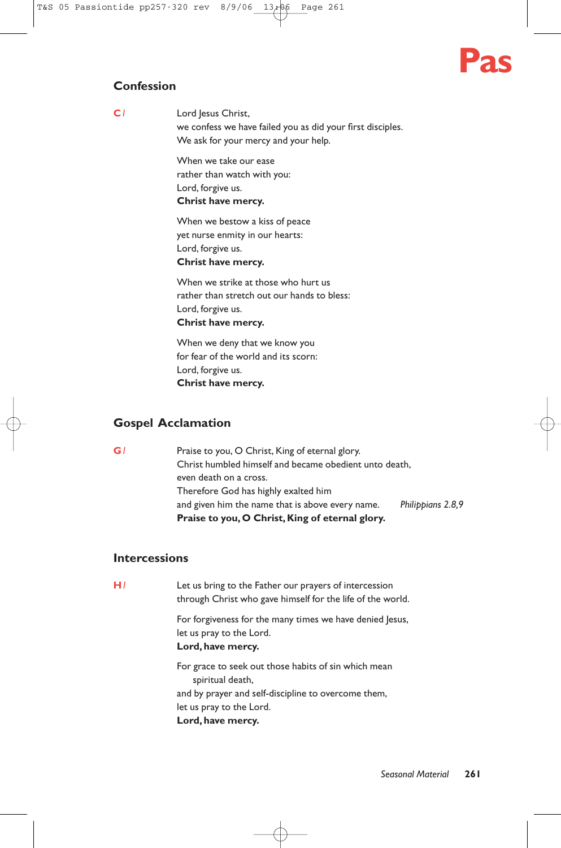# **Pas**

#### **Confession**

**C***1* Lord Jesus Christ, we confess we have failed you as did your first disciples. We ask for your mercy and your help.

> When we take our ease rather than watch with you: Lord, forgive us. **Christ have mercy.**

When we bestow a kiss of peace yet nurse enmity in our hearts: Lord, forgive us. **Christ have mercy.**

When we strike at those who hurt us rather than stretch out our hands to bless: Lord, forgive us. **Christ have mercy.**

When we deny that we know you for fear of the world and its scorn: Lord, forgive us. **Christ have mercy.**

#### **Gospel Acclamation**

**G**<sup>1</sup> Praise to you, O Christ, King of eternal glory. Christ humbled himself and became obedient unto death, even death on a cross. Therefore God has highly exalted him and given him the name that is above every name. *Philippians 2.8,9*  **Praise to you, O Christ, King of eternal glory.**

#### **Intercessions**

**H***1* Let us bring to the Father our prayers of intercession through Christ who gave himself for the life of the world.

For forgiveness for the many times we have denied Jesus, let us pray to the Lord. **Lord, have mercy.**

For grace to seek out those habits of sin which mean spiritual death, and by prayer and self-discipline to overcome them, let us pray to the Lord. **Lord, have mercy.**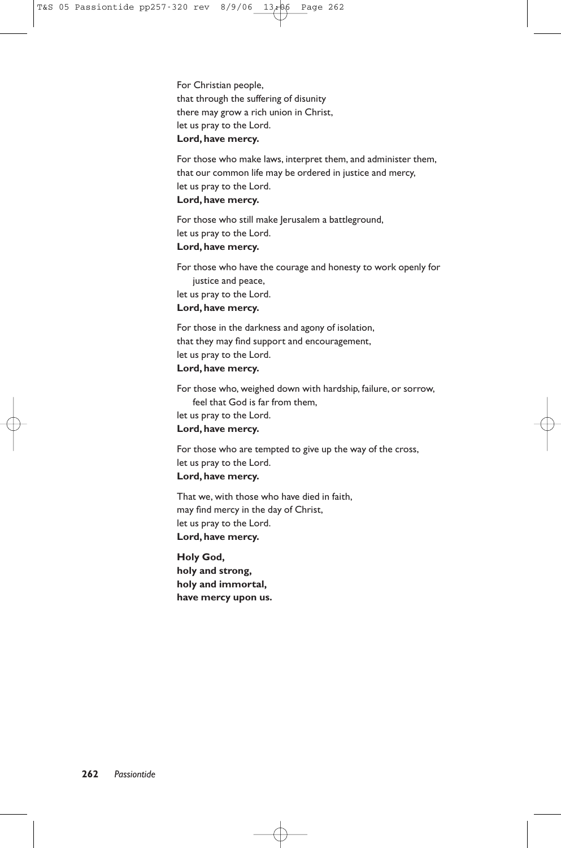For Christian people, that through the suffering of disunity there may grow a rich union in Christ, let us pray to the Lord. **Lord, have mercy.**

For those who make laws, interpret them, and administer them, that our common life may be ordered in justice and mercy, let us pray to the Lord. **Lord, have mercy.**

For those who still make Jerusalem a battleground, let us pray to the Lord. **Lord, have mercy.**

For those who have the courage and honesty to work openly for justice and peace,

let us pray to the Lord.

#### **Lord, have mercy.**

For those in the darkness and agony of isolation, that they may find support and encouragement, let us pray to the Lord. **Lord, have mercy.**

For those who, weighed down with hardship, failure, or sorrow, feel that God is far from them, let us pray to the Lord.

#### **Lord, have mercy.**

For those who are tempted to give up the way of the cross, let us pray to the Lord. **Lord, have mercy.**

That we, with those who have died in faith, may find mercy in the day of Christ, let us pray to the Lord. **Lord, have mercy.**

**Holy God, holy and strong, holy and immortal, have mercy upon us.**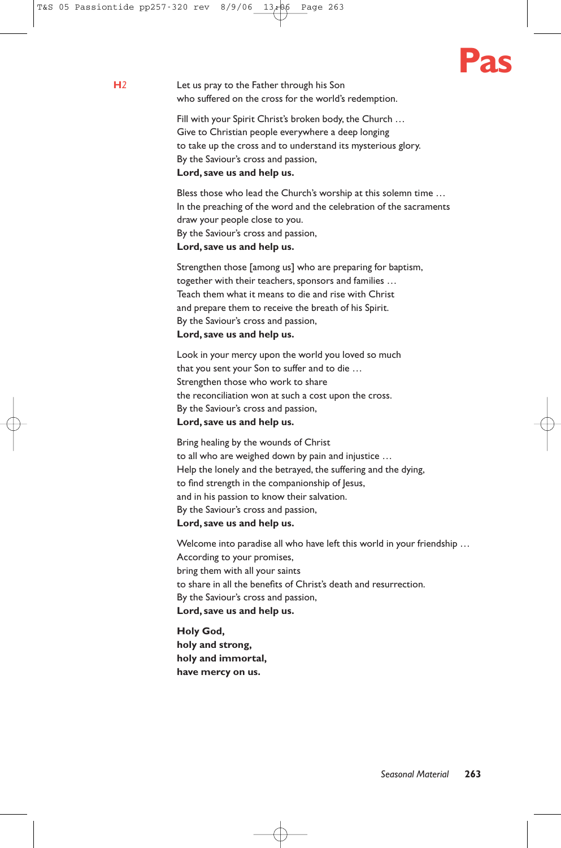

**H***2* Let us pray to the Father through his Son who suffered on the cross for the world's redemption.

> Fill with your Spirit Christ's broken body, the Church … Give to Christian people everywhere a deep longing to take up the cross and to understand its mysterious glory. By the Saviour's cross and passion, **Lord, save us and help us.**

Bless those who lead the Church's worship at this solemn time … In the preaching of the word and the celebration of the sacraments draw your people close to you. By the Saviour's cross and passion, **Lord, save us and help us.**

Strengthen those [among us] who are preparing for baptism, together with their teachers, sponsors and families … Teach them what it means to die and rise with Christ and prepare them to receive the breath of his Spirit. By the Saviour's cross and passion, **Lord, save us and help us.**

Look in your mercy upon the world you loved so much that you sent your Son to suffer and to die … Strengthen those who work to share the reconciliation won at such a cost upon the cross. By the Saviour's cross and passion, **Lord, save us and help us.**

Bring healing by the wounds of Christ to all who are weighed down by pain and injustice … Help the lonely and the betrayed, the suffering and the dying, to find strength in the companionship of Jesus, and in his passion to know their salvation. By the Saviour's cross and passion, **Lord, save us and help us.**

Welcome into paradise all who have left this world in your friendship … According to your promises, bring them with all your saints to share in all the benefits of Christ's death and resurrection. By the Saviour's cross and passion, **Lord, save us and help us.**

**Holy God, holy and strong, holy and immortal, have mercy on us.**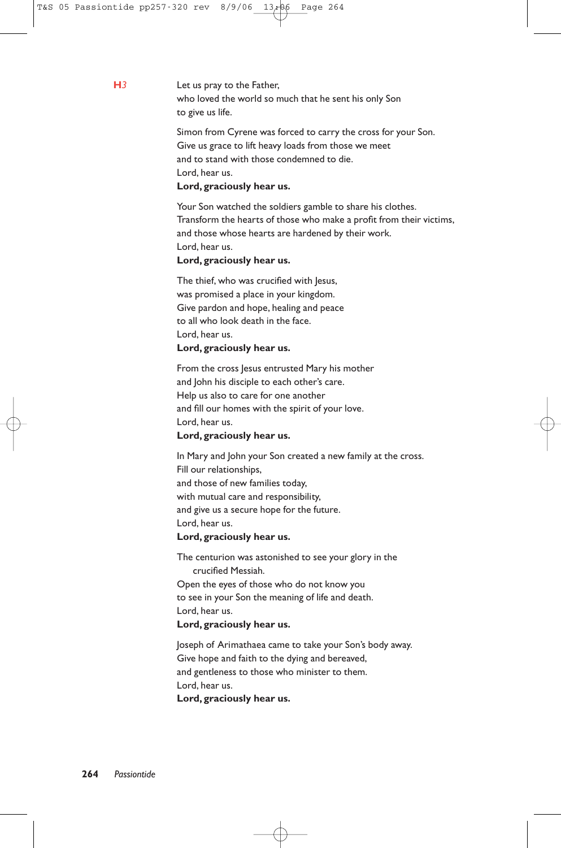**H***3* Let us pray to the Father, who loved the world so much that he sent his only Son to give us life.

> Simon from Cyrene was forced to carry the cross for your Son. Give us grace to lift heavy loads from those we meet and to stand with those condemned to die. Lord, hear us. **Lord, graciously hear us.**

Your Son watched the soldiers gamble to share his clothes. Transform the hearts of those who make a profit from their victims, and those whose hearts are hardened by their work. Lord, hear us.

#### **Lord, graciously hear us.**

The thief, who was crucified with Jesus, was promised a place in your kingdom. Give pardon and hope, healing and peace to all who look death in the face. Lord, hear us. **Lord, graciously hear us.**

From the cross Jesus entrusted Mary his mother and John his disciple to each other's care. Help us also to care for one another and fill our homes with the spirit of your love. Lord, hear us. **Lord, graciously hear us.**

In Mary and John your Son created a new family at the cross. Fill our relationships, and those of new families today, with mutual care and responsibility, and give us a secure hope for the future. Lord, hear us.

#### **Lord, graciously hear us.**

The centurion was astonished to see your glory in the crucified Messiah.

Open the eyes of those who do not know you to see in your Son the meaning of life and death. Lord, hear us. **Lord, graciously hear us.**

Joseph of Arimathaea came to take your Son's body away. Give hope and faith to the dying and bereaved, and gentleness to those who minister to them. Lord, hear us.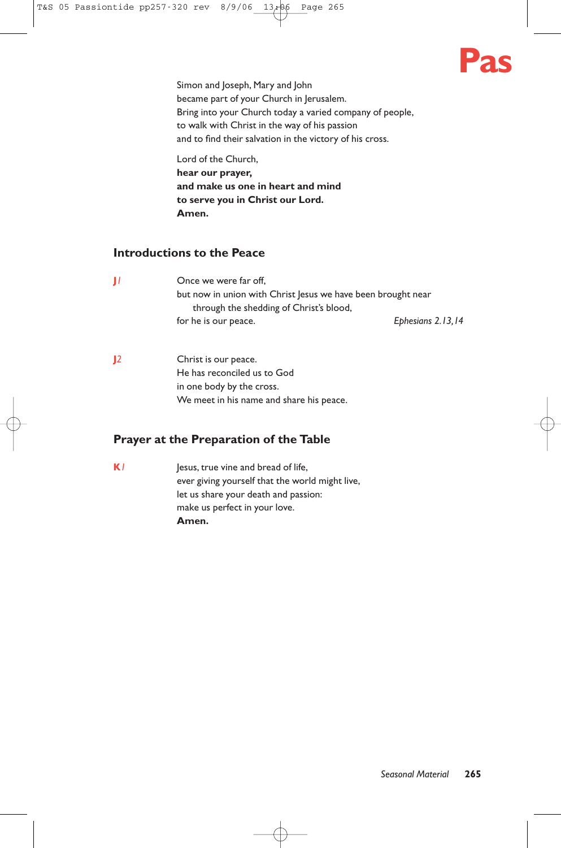

Simon and Joseph, Mary and John became part of your Church in Jerusalem. Bring into your Church today a varied company of people, to walk with Christ in the way of his passion and to find their salvation in the victory of his cross.

Lord of the Church, **hear our prayer, and make us one in heart and mind to serve you in Christ our Lord. Amen.**

#### **Introductions to the Peace**

- **J***1* Once we were far off, but now in union with Christ Jesus we have been brought near through the shedding of Christ's blood, for he is our peace. *Ephesians 2.13,14*
- **J***2* Christ is our peace. He has reconciled us to God in one body by the cross. We meet in his name and share his peace.

#### **Prayer at the Preparation of the Table**

**K***1* Jesus, true vine and bread of life, ever giving yourself that the world might live, let us share your death and passion: make us perfect in your love. **Amen.**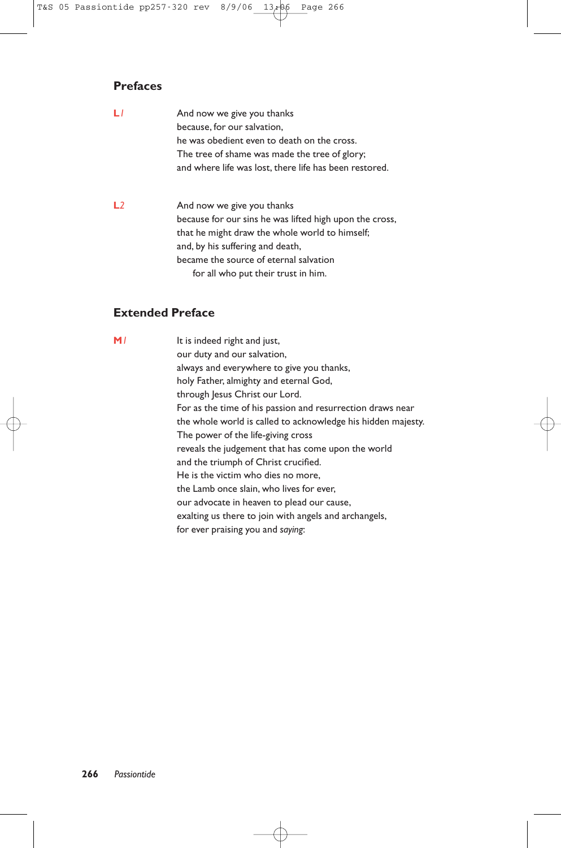#### **Prefaces**

|                | And now we give you thanks<br>because, for our salvation,<br>he was obedient even to death on the cross.<br>The tree of shame was made the tree of glory;<br>and where life was lost, there life has been restored.                                          |
|----------------|--------------------------------------------------------------------------------------------------------------------------------------------------------------------------------------------------------------------------------------------------------------|
| L <sub>2</sub> | And now we give you thanks<br>because for our sins he was lifted high upon the cross,<br>that he might draw the whole world to himself;<br>and, by his suffering and death,<br>became the source of eternal salvation<br>for all who put their trust in him. |

#### **Extended Preface**

**M**<sup>*I*</sup> It is indeed right and just, our duty and our salvation, always and everywhere to give you thanks, holy Father, almighty and eternal God, through Jesus Christ our Lord. For as the time of his passion and resurrection draws near the whole world is called to acknowledge his hidden majesty. The power of the life-giving cross reveals the judgement that has come upon the world and the triumph of Christ crucified. He is the victim who dies no more, the Lamb once slain, who lives for ever, our advocate in heaven to plead our cause, exalting us there to join with angels and archangels, for ever praising you and *saying*: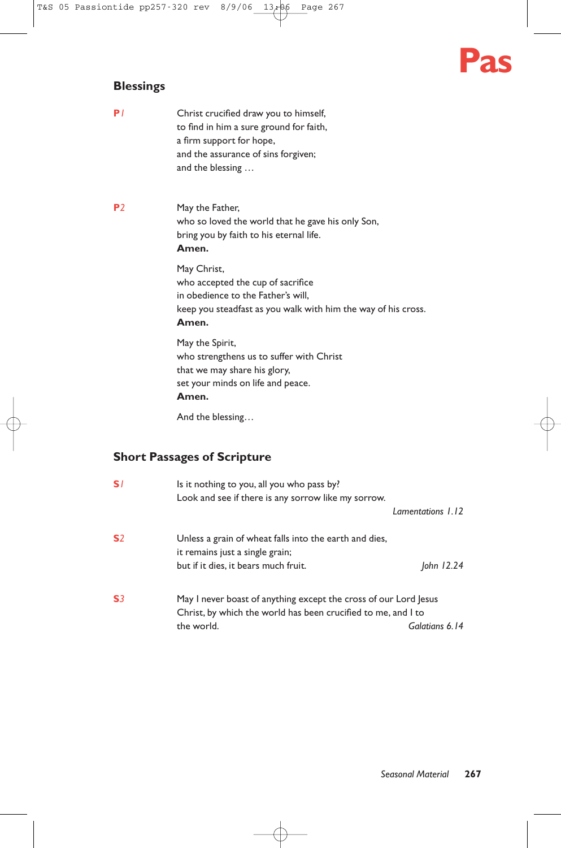# **Pas**

### **Blessings**

| P I            | Christ crucified draw you to himself,<br>to find in him a sure ground for faith,<br>a firm support for hope,<br>and the assurance of sins forgiven;<br>and the blessing |
|----------------|-------------------------------------------------------------------------------------------------------------------------------------------------------------------------|
| P <sub>2</sub> | May the Father,<br>who so loved the world that he gave his only Son,<br>bring you by faith to his eternal life.<br>Amen.                                                |
|                | May Christ,<br>who accepted the cup of sacrifice<br>in obedience to the Father's will,<br>keep you steadfast as you walk with him the way of his cross.<br>Amen.        |
|                | May the Spirit,<br>who strengthens us to suffer with Christ<br>that we may share his glory,<br>set your minds on life and peace.<br>Amen.                               |
|                | And the blessing                                                                                                                                                        |
|                | <b>Short Passages of Scripture</b>                                                                                                                                      |
| S I            | Is it nothing to you, all you who pass by?<br>Look and see if there is any sorrow like my sorrow.<br>Lamentations 1.12                                                  |
| S <sub>2</sub> | Unless a grain of wheat falls into the earth and dies,<br>it remains just a single grain;<br>but if it dies, it bears much fruit.<br>John 12.24                         |
| S3             | May I never boast of anything except the cross of our Lord Jesus<br>Christ, by which the world has been crucified to me, and I to<br>the world.<br>Galatians 6.14       |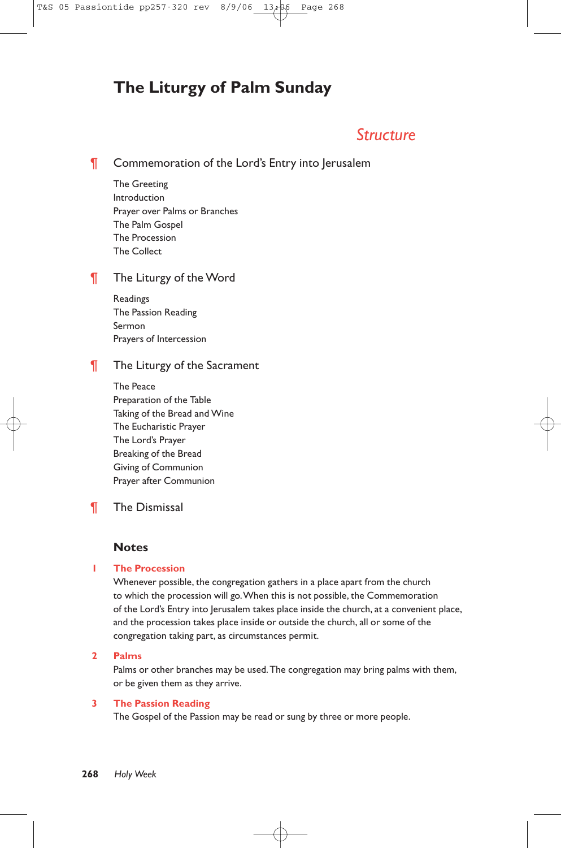# **The Liturgy of Palm Sunday**

## *Structure*

#### **T** Commemoration of the Lord's Entry into Jerusalem

The Greeting Introduction Prayer over Palms or Branches The Palm Gospel The Procession The Collect

#### **The Liturgy of the Word**

Readings The Passion Reading Sermon Prayers of Intercession

#### **The Liturgy of the Sacrament**

The Peace Preparation of the Table Taking of the Bread and Wine The Eucharistic Prayer The Lord's Prayer Breaking of the Bread Giving of Communion Prayer after Communion

#### ¶ The Dismissal

#### **Notes**

#### **1 The Procession**

Whenever possible, the congregation gathers in a place apart from the church to which the procession will go.When this is not possible, the Commemoration of the Lord's Entry into Jerusalem takes place inside the church, at a convenient place, and the procession takes place inside or outside the church, all or some of the congregation taking part, as circumstances permit.

#### **2 Palms**

Palms or other branches may be used.The congregation may bring palms with them, or be given them as they arrive.

#### **3 The Passion Reading**

The Gospel of the Passion may be read or sung by three or more people.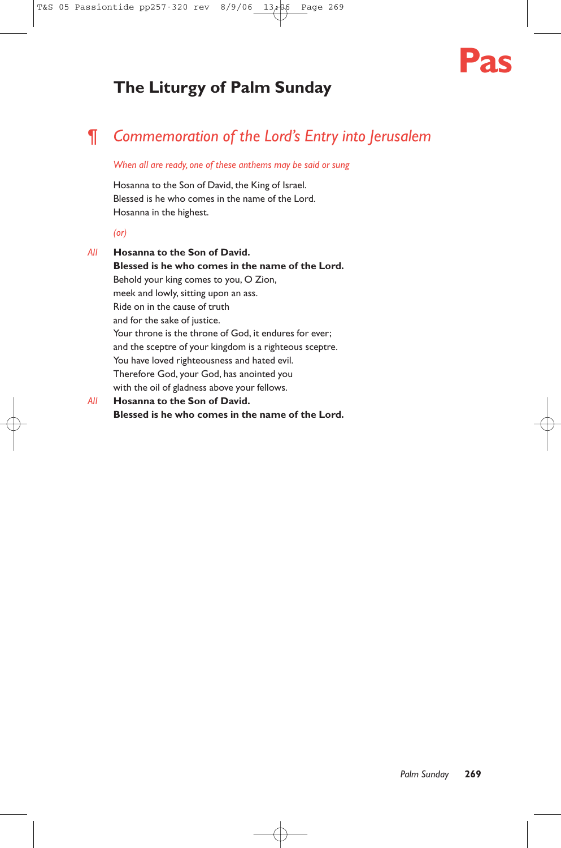

# **The Liturgy of Palm Sunday**

# ¶ *Commemoration of the Lord's Entry into Jerusalem*

*When all are ready, one of these anthems may be said or sung*

Hosanna to the Son of David, the King of Israel. Blessed is he who comes in the name of the Lord. Hosanna in the highest.

*(or)*

#### *All* **Hosanna to the Son of David. Blessed is he who comes in the name of the Lord.** Behold your king comes to you, O Zion, meek and lowly, sitting upon an ass. Ride on in the cause of truth and for the sake of justice. Your throne is the throne of God, it endures for ever; and the sceptre of your kingdom is a righteous sceptre. You have loved righteousness and hated evil. Therefore God, your God, has anointed you with the oil of gladness above your fellows.

*All* **Hosanna to the Son of David. Blessed is he who comes in the name of the Lord.**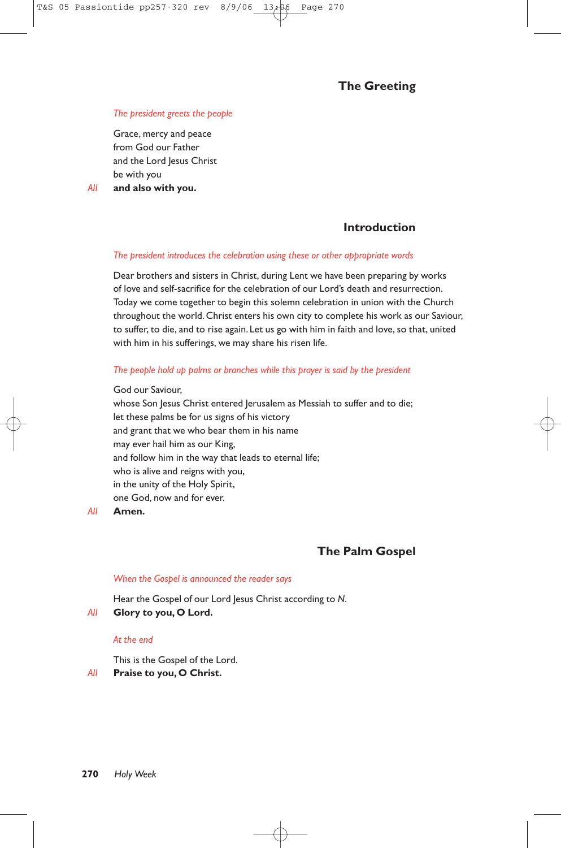#### **The Greeting**

#### *The president greets the people*

Grace, mercy and peace from God our Father and the Lord Jesus Christ be with you

*All* **and also with you.**

#### **Introduction**

#### *The president introduces the celebration using these or other appropriate words*

Dear brothers and sisters in Christ, during Lent we have been preparing by works of love and self-sacrifice for the celebration of our Lord's death and resurrection. Today we come together to begin this solemn celebration in union with the Church throughout the world. Christ enters his own city to complete his work as our Saviour, to suffer, to die, and to rise again. Let us go with him in faith and love, so that, united with him in his sufferings, we may share his risen life.

#### *The people hold up palms or branches while this prayer is said by the president*

#### God our Saviour,

whose Son Jesus Christ entered Jerusalem as Messiah to suffer and to die; let these palms be for us signs of his victory and grant that we who bear them in his name may ever hail him as our King, and follow him in the way that leads to eternal life; who is alive and reigns with you, in the unity of the Holy Spirit, one God, now and for ever.

*All* **Amen.**

#### **The Palm Gospel**

#### *When the Gospel is announced the reader says*

Hear the Gospel of our Lord Jesus Christ according to *N*. *All* **Glory to you, O Lord.**

#### *At the end*

This is the Gospel of the Lord.

*All* **Praise to you, O Christ.**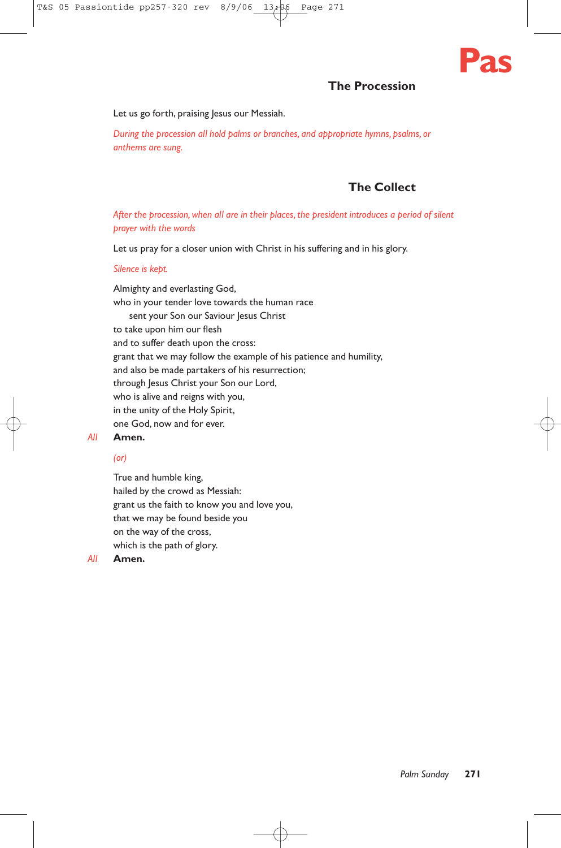#### **The Procession**



Let us go forth, praising Jesus our Messiah.

*During the procession all hold palms or branches, and appropriate hymns, psalms, or anthems are sung.*

#### **The Collect**

*After the procession, when all are in their places, the president introduces a period of silent prayer with the words*

Let us pray for a closer union with Christ in his suffering and in his glory.

#### *Silence is kept.*

Almighty and everlasting God, who in your tender love towards the human race sent your Son our Saviour Jesus Christ to take upon him our flesh and to suffer death upon the cross: grant that we may follow the example of his patience and humility, and also be made partakers of his resurrection; through Jesus Christ your Son our Lord, who is alive and reigns with you, in the unity of the Holy Spirit, one God, now and for ever.

#### *All* **Amen.**

#### *(or)*

True and humble king, hailed by the crowd as Messiah: grant us the faith to know you and love you, that we may be found beside you on the way of the cross, which is the path of glory.

#### *All* **Amen.**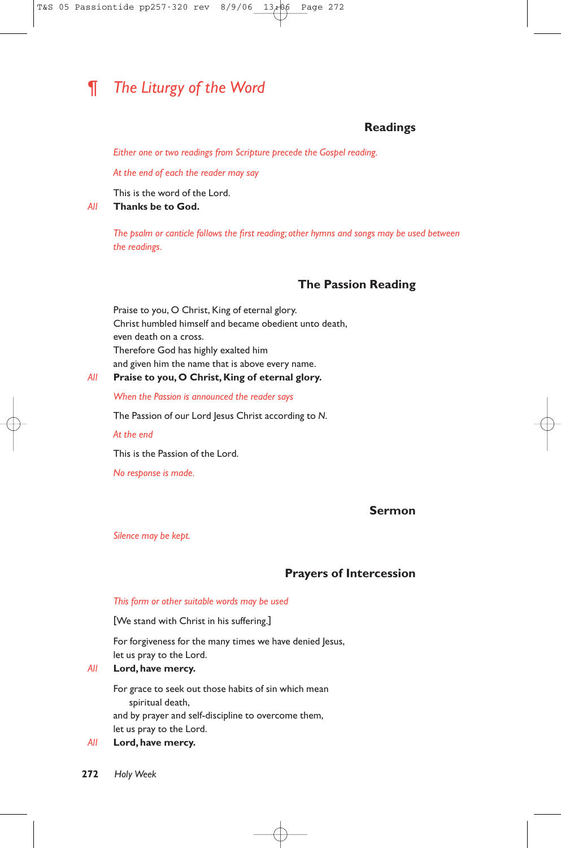# ¶ *The Liturgy of the Word*

#### **Readings**

*Either one or two readings from Scripture precede the Gospel reading.*

*At the end of each the reader may say*

This is the word of the Lord.

#### *All* **Thanks be to God.**

*The psalm or canticle follows the first reading; other hymns and songs may be used between the readings.*

#### **The Passion Reading**

Praise to you, O Christ, King of eternal glory. Christ humbled himself and became obedient unto death, even death on a cross. Therefore God has highly exalted him and given him the name that is above every name.

#### *All* **Praise to you, O Christ, King of eternal glory.**

*When the Passion is announced the reader says*

The Passion of our Lord Jesus Christ according to *N*.

*At the end*

This is the Passion of the Lord.

*No response is made.*

#### **Sermon**

*Silence may be kept.*

#### **Prayers of Intercession**

#### *This form or other suitable words may be used*

[We stand with Christ in his suffering.]

For forgiveness for the many times we have denied Jesus, let us pray to the Lord.

#### *All* **Lord, have mercy.**

For grace to seek out those habits of sin which mean spiritual death, and by prayer and self-discipline to overcome them, let us pray to the Lord.

#### *All* **Lord, have mercy.**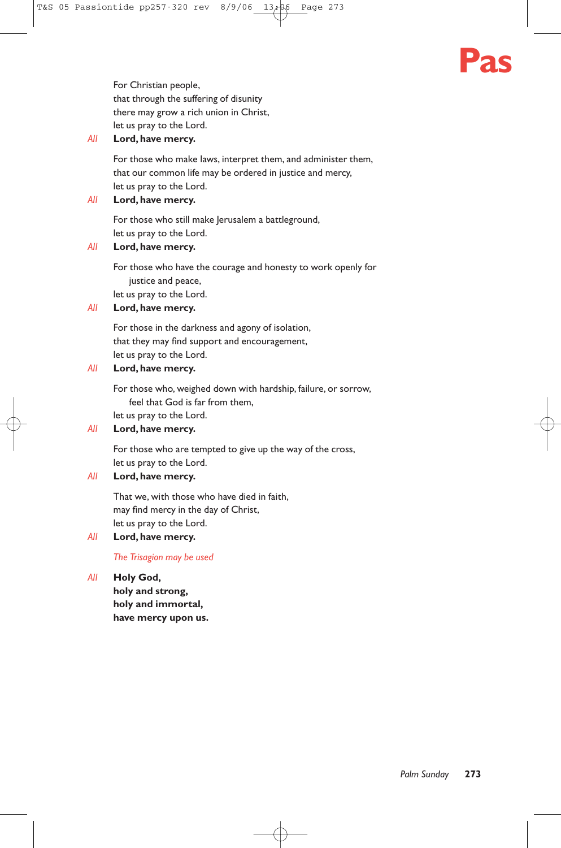For Christian people, that through the suffering of disunity there may grow a rich union in Christ, let us pray to the Lord.

#### *All* **Lord, have mercy.**

For those who make laws, interpret them, and administer them, that our common life may be ordered in justice and mercy, let us pray to the Lord.

#### *All* **Lord, have mercy.**

For those who still make Jerusalem a battleground, let us pray to the Lord.

#### *All* **Lord, have mercy.**

For those who have the courage and honesty to work openly for justice and peace,

let us pray to the Lord.

#### *All* **Lord, have mercy.**

For those in the darkness and agony of isolation, that they may find support and encouragement, let us pray to the Lord.

#### *All* **Lord, have mercy.**

For those who, weighed down with hardship, failure, or sorrow, feel that God is far from them,

let us pray to the Lord.

#### *All* **Lord, have mercy.**

For those who are tempted to give up the way of the cross, let us pray to the Lord.

#### *All* **Lord, have mercy.**

That we, with those who have died in faith, may find mercy in the day of Christ, let us pray to the Lord.

#### *All* **Lord, have mercy.**

#### *The Trisagion may be used*

#### *All* **Holy God,**

**holy and strong, holy and immortal, have mercy upon us.** **Pas**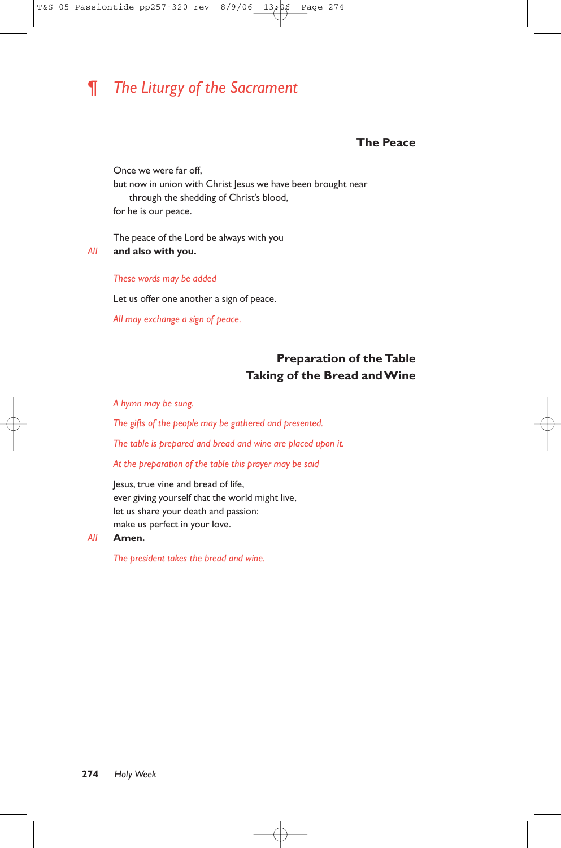# ¶ *The Liturgy of the Sacrament*

#### **The Peace**

Once we were far off, but now in union with Christ Jesus we have been brought near through the shedding of Christ's blood, for he is our peace.

The peace of the Lord be always with you *All* **and also with you.**

*These words may be added*

Let us offer one another a sign of peace.

*All may exchange a sign of peace.*

#### **Preparation of the Table Taking of the Bread and Wine**

*A hymn may be sung.*

*The gifts of the people may be gathered and presented.*

*The table is prepared and bread and wine are placed upon it.*

*At the preparation of the table this prayer may be said*

Jesus, true vine and bread of life, ever giving yourself that the world might live, let us share your death and passion: make us perfect in your love.

*All* **Amen.**

*The president takes the bread and wine.*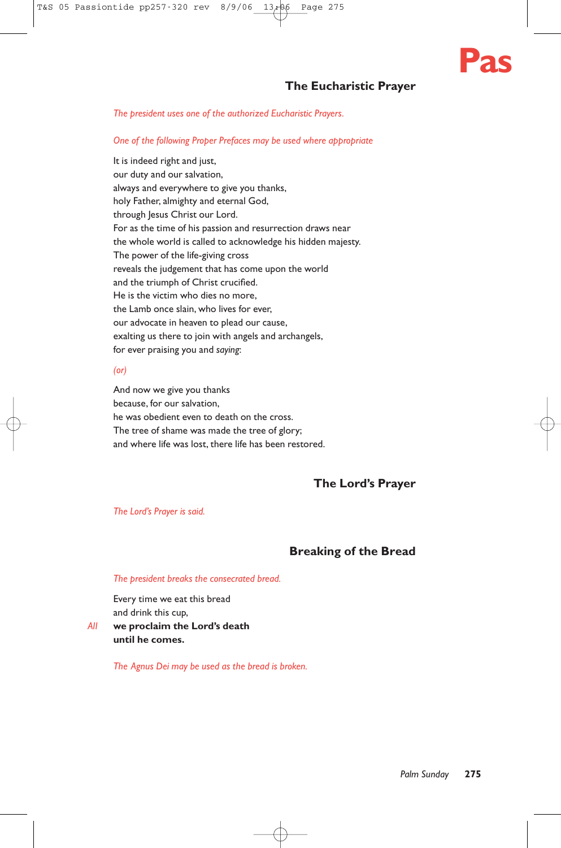#### **The Eucharistic Prayer**

*The president uses one of the authorized Eucharistic Prayers.*

#### *One of the following Proper Prefaces may be used where appropriate*

It is indeed right and just, our duty and our salvation, always and everywhere to give you thanks, holy Father, almighty and eternal God, through Jesus Christ our Lord. For as the time of his passion and resurrection draws near the whole world is called to acknowledge his hidden majesty. The power of the life-giving cross reveals the judgement that has come upon the world and the triumph of Christ crucified. He is the victim who dies no more, the Lamb once slain, who lives for ever, our advocate in heaven to plead our cause, exalting us there to join with angels and archangels, for ever praising you and *saying*:

#### *(or)*

And now we give you thanks because, for our salvation, he was obedient even to death on the cross. The tree of shame was made the tree of glory; and where life was lost, there life has been restored.

#### **The Lord's Prayer**

*The Lord's Prayer is said.*

#### **Breaking of the Bread**

#### *The president breaks the consecrated bread.*

Every time we eat this bread and drink this cup,

#### *All* **we proclaim the Lord's death until he comes.**

*The Agnus Dei may be used as the bread is broken.*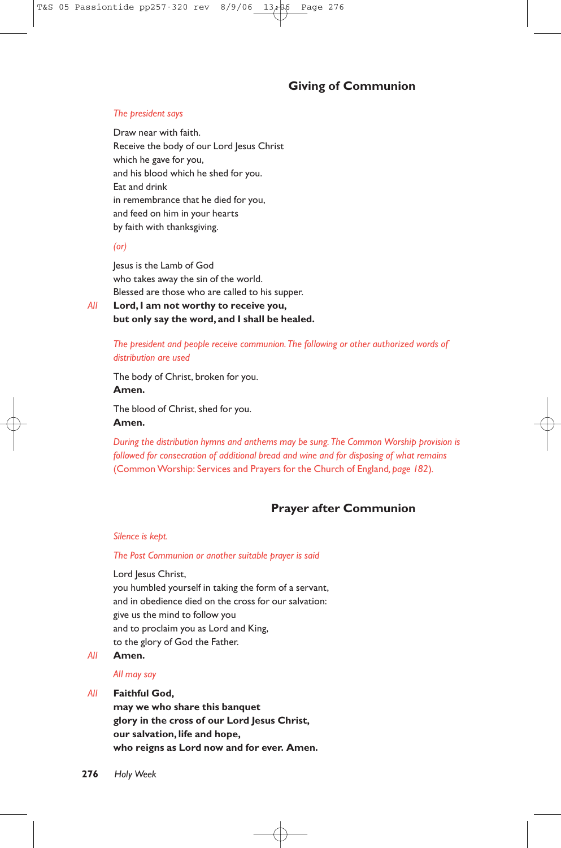#### **Giving of Communion**

#### *The president says*

Draw near with faith. Receive the body of our Lord Jesus Christ which he gave for you, and his blood which he shed for you. Eat and drink in remembrance that he died for you, and feed on him in your hearts by faith with thanksgiving.

#### *(or)*

Jesus is the Lamb of God who takes away the sin of the world. Blessed are those who are called to his supper.

#### *All* **Lord,I am not worthy to receive you, but only say the word, and I shall be healed.**

*The president and people receive communion.The following or other authorized words of distribution are used* 

The body of Christ, broken for you. **Amen.**

The blood of Christ, shed for you. **Amen.**

*During the distribution hymns and anthems may be sung.The Common Worship provision is followed for consecration of additional bread and wine and for disposing of what remains* (Common Worship: Services and Prayers for the Church of England*, page 182*)*.*

#### **Prayer after Communion**

#### *Silence is kept.*

#### *The Post Communion or another suitable prayer is said*

Lord Jesus Christ,

you humbled yourself in taking the form of a servant, and in obedience died on the cross for our salvation: give us the mind to follow you and to proclaim you as Lord and King, to the glory of God the Father.

#### *All* **Amen.**

#### *All may say*

#### *All* **Faithful God,**

**may we who share this banquet glory in the cross of our Lord Jesus Christ, our salvation, life and hope, who reigns as Lord now and for ever. Amen.**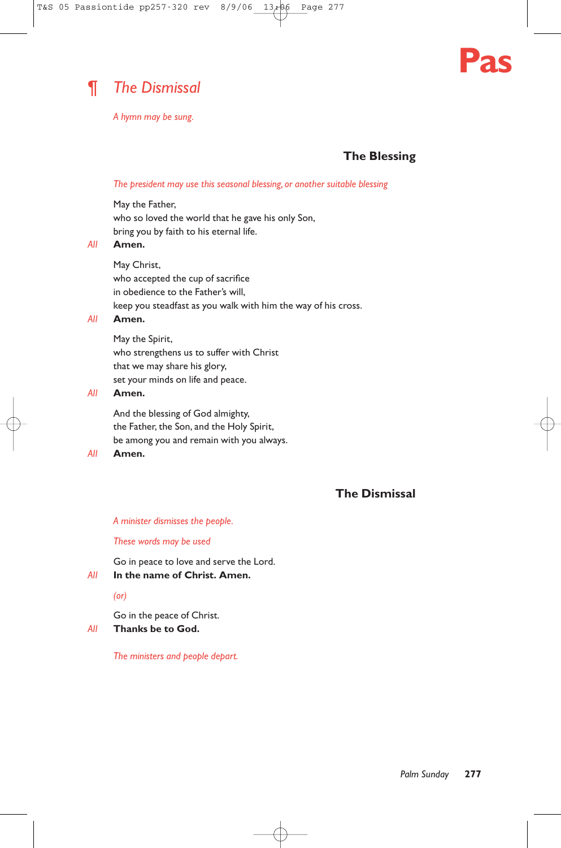

*A hymn may be sung.*

#### **The Blessing**

**Pas**

*The president may use this seasonal blessing, or another suitable blessing*

May the Father, who so loved the world that he gave his only Son, bring you by faith to his eternal life.

#### *All* **Amen.**

May Christ, who accepted the cup of sacrifice in obedience to the Father's will, keep you steadfast as you walk with him the way of his cross.

*All* **Amen.**

May the Spirit, who strengthens us to suffer with Christ that we may share his glory, set your minds on life and peace.

#### *All* **Amen.**

And the blessing of God almighty, the Father, the Son, and the Holy Spirit, be among you and remain with you always.

*All* **Amen.**

#### **The Dismissal**

#### *A minister dismisses the people.*

#### *These words may be used*

Go in peace to love and serve the Lord.

#### *All* **In the name of Christ. Amen.**

#### *(or)*

Go in the peace of Christ.

#### *All* **Thanks be to God.**

*The ministers and people depart.*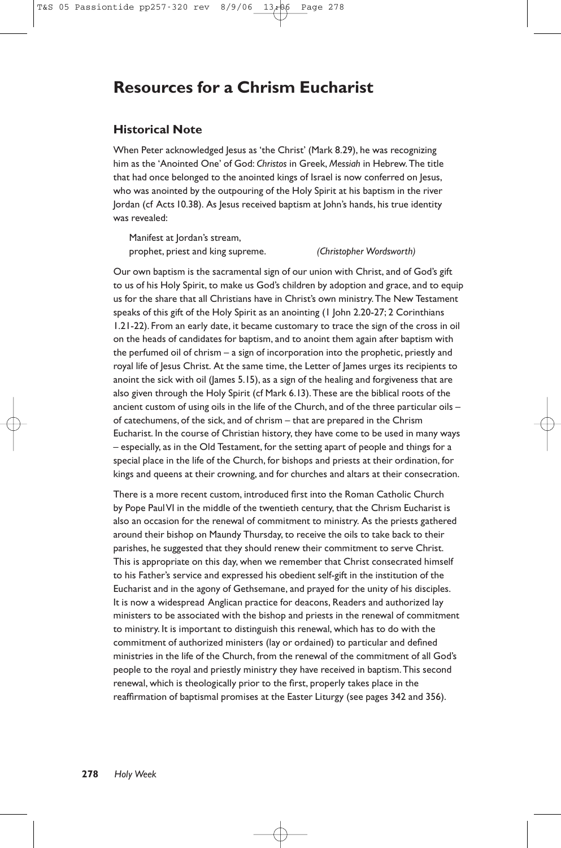## **Resources for a Chrism Eucharist**

#### **Historical Note**

When Peter acknowledged Jesus as 'the Christ' (Mark 8.29), he was recognizing him as the 'Anointed One' of God: *Christos* in Greek, *Messiah* in Hebrew.The title that had once belonged to the anointed kings of Israel is now conferred on Jesus, who was anointed by the outpouring of the Holy Spirit at his baptism in the river Jordan (cf Acts 10.38). As Jesus received baptism at John's hands, his true identity was revealed:

Manifest at Jordan's stream, prophet, priest and king supreme. *(Christopher Wordsworth)*

Our own baptism is the sacramental sign of our union with Christ, and of God's gift to us of his Holy Spirit, to make us God's children by adoption and grace, and to equip us for the share that all Christians have in Christ's own ministry.The New Testament speaks of this gift of the Holy Spirit as an anointing (1 John 2.20-27; 2 Corinthians 1.21-22). From an early date, it became customary to trace the sign of the cross in oil on the heads of candidates for baptism, and to anoint them again after baptism with the perfumed oil of chrism – a sign of incorporation into the prophetic, priestly and royal life of Jesus Christ. At the same time, the Letter of James urges its recipients to anoint the sick with oil (James 5.15), as a sign of the healing and forgiveness that are also given through the Holy Spirit (cf Mark 6.13).These are the biblical roots of the ancient custom of using oils in the life of the Church, and of the three particular oils – of catechumens, of the sick, and of chrism – that are prepared in the Chrism Eucharist. In the course of Christian history, they have come to be used in many ways – especially, as in the Old Testament, for the setting apart of people and things for a special place in the life of the Church, for bishops and priests at their ordination, for kings and queens at their crowning, and for churches and altars at their consecration.

There is a more recent custom, introduced first into the Roman Catholic Church by Pope Paul VI in the middle of the twentieth century, that the Chrism Eucharist is also an occasion for the renewal of commitment to ministry. As the priests gathered around their bishop on Maundy Thursday, to receive the oils to take back to their parishes, he suggested that they should renew their commitment to serve Christ. This is appropriate on this day, when we remember that Christ consecrated himself to his Father's service and expressed his obedient self-gift in the institution of the Eucharist and in the agony of Gethsemane, and prayed for the unity of his disciples. It is now a widespread Anglican practice for deacons, Readers and authorized lay ministers to be associated with the bishop and priests in the renewal of commitment to ministry. It is important to distinguish this renewal, which has to do with the commitment of authorized ministers (lay or ordained) to particular and defined ministries in the life of the Church, from the renewal of the commitment of all God's people to the royal and priestly ministry they have received in baptism.This second renewal, which is theologically prior to the first, properly takes place in the reaffirmation of baptismal promises at the Easter Liturgy (see pages 342 and 356).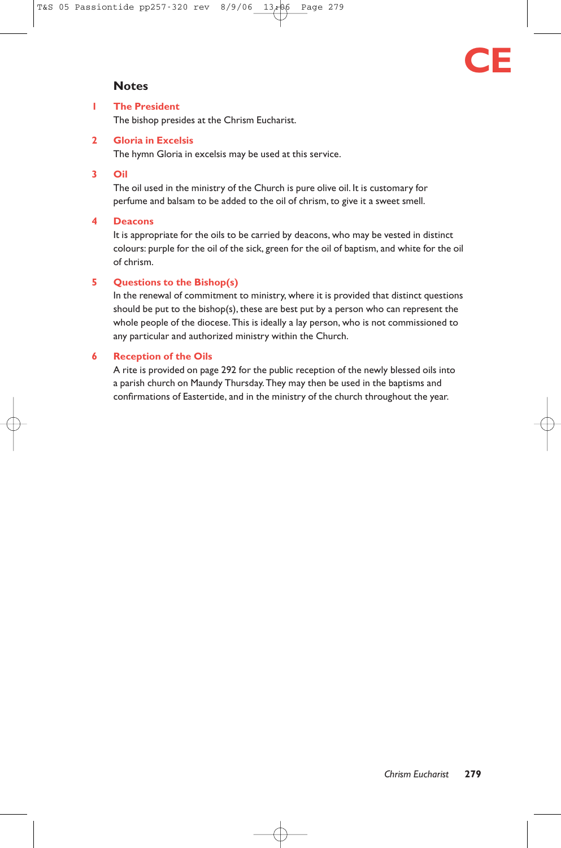#### **Notes**

#### **1 The President**

The bishop presides at the Chrism Eucharist.

#### **2 Gloria in Excelsis**

The hymn Gloria in excelsis may be used at this service.

#### **3 Oil**

The oil used in the ministry of the Church is pure olive oil. It is customary for perfume and balsam to be added to the oil of chrism, to give it a sweet smell.

#### **4 Deacons**

It is appropriate for the oils to be carried by deacons, who may be vested in distinct colours: purple for the oil of the sick, green for the oil of baptism, and white for the oil of chrism.

#### **5 Questions to the Bishop(s)**

In the renewal of commitment to ministry, where it is provided that distinct questions should be put to the bishop(s), these are best put by a person who can represent the whole people of the diocese.This is ideally a lay person, who is not commissioned to any particular and authorized ministry within the Church.

#### **6 Reception of the Oils**

A rite is provided on page 292 for the public reception of the newly blessed oils into a parish church on Maundy Thursday.They may then be used in the baptisms and confirmations of Eastertide, and in the ministry of the church throughout the year.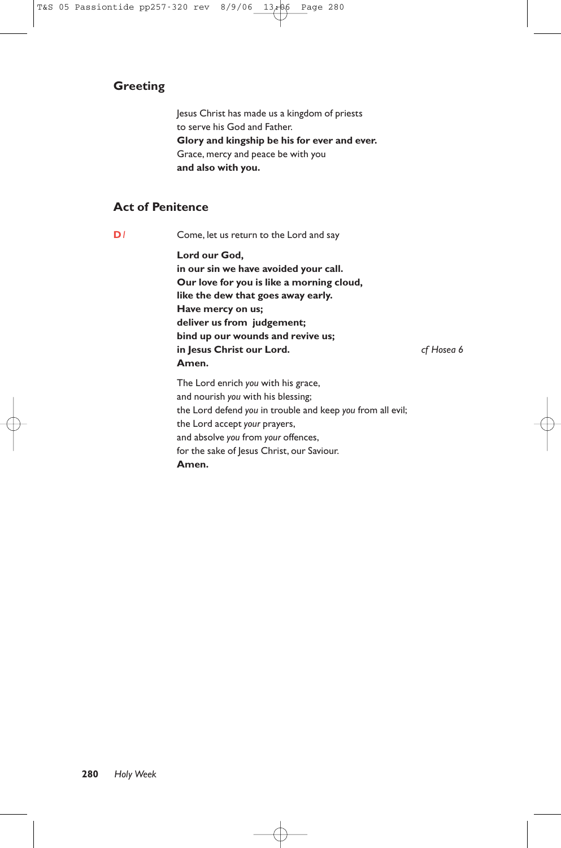#### **Greeting**

Jesus Christ has made us a kingdom of priests to serve his God and Father. **Glory and kingship be his for ever and ever.** Grace, mercy and peace be with you **and also with you.**

#### **Act of Penitence**

**D**<sup>1</sup> Come, let us return to the Lord and say

**Lord our God, in our sin we have avoided your call. Our love for you is like a morning cloud, like the dew that goes away early. Have mercy on us; deliver us from judgement; bind up our wounds and revive us; in Jesus Christ our Lord.** *cf Hosea 6* **Amen.** The Lord enrich *you* with his grace,

and nourish *you* with his blessing; the Lord defend *you* in trouble and keep *you* from all evil; the Lord accept *your* prayers, and absolve *you* from *your* offences, for the sake of Jesus Christ, our Saviour. **Amen.**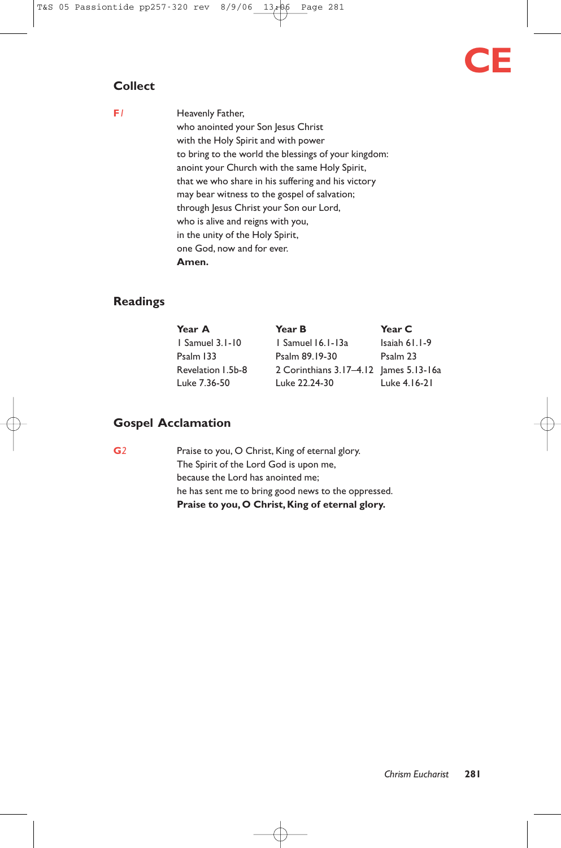#### **Collect**

**F***1* Heavenly Father, who anointed your Son Jesus Christ with the Holy Spirit and with power to bring to the world the blessings of your kingdom: anoint your Church with the same Holy Spirit, that we who share in his suffering and his victory may bear witness to the gospel of salvation; through Jesus Christ your Son our Lord, who is alive and reigns with you, in the unity of the Holy Spirit, one God, now and for ever. **Amen.**

#### **Readings**

| Year A                | Year B                                                 | Year C          |
|-----------------------|--------------------------------------------------------|-----------------|
| $I$ Samuel $3.1 - 10$ | $\sqrt{2}$ Samuel $\sqrt{6}$ , $\sqrt{2}$ - $\sqrt{3}$ | Isaiah $61.1-9$ |
| Psalm 133             | Psalm 89.19-30                                         | Psalm 23        |
| Revelation 1.5b-8     | 2 Corinthians 3.17-4.12 James 5.13-16a                 |                 |
| Luke 7.36-50          | Luke 22.24-30                                          | Luke 4.16-21    |

#### **Gospel Acclamation**

**G**<sup>2</sup> Praise to you, O Christ, King of eternal glory. The Spirit of the Lord God is upon me, because the Lord has anointed me; he has sent me to bring good news to the oppressed. **Praise to you, O Christ, King of eternal glory.**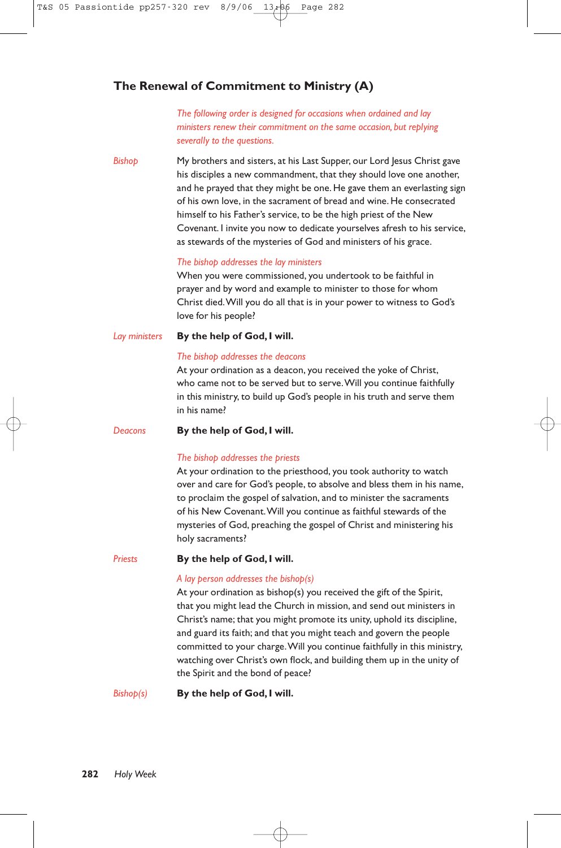#### **The Renewal of Commitment to Ministry (A)**

*The following order is designed for occasions when ordained and lay ministers renew their commitment on the same occasion, but replying severally to the questions.*

*Bishop* My brothers and sisters, at his Last Supper, our Lord Jesus Christ gave his disciples a new commandment, that they should love one another, and he prayed that they might be one. He gave them an everlasting sign of his own love, in the sacrament of bread and wine. He consecrated himself to his Father's service, to be the high priest of the New Covenant. I invite you now to dedicate yourselves afresh to his service, as stewards of the mysteries of God and ministers of his grace.

#### *The bishop addresses the lay ministers*

When you were commissioned, you undertook to be faithful in prayer and by word and example to minister to those for whom Christ died.Will you do all that is in your power to witness to God's love for his people?

#### *Lay ministers* **By the help of God, I will.**

#### *The bishop addresses the deacons*

At your ordination as a deacon, you received the yoke of Christ, who came not to be served but to serve.Will you continue faithfully in this ministry, to build up God's people in his truth and serve them in his name?

#### *Deacons* **By the help of God, I will.**

#### *The bishop addresses the priests*

At your ordination to the priesthood, you took authority to watch over and care for God's people, to absolve and bless them in his name, to proclaim the gospel of salvation, and to minister the sacraments of his New Covenant.Will you continue as faithful stewards of the mysteries of God, preaching the gospel of Christ and ministering his holy sacraments?

#### *Priests* **By the help of God, I will.**

#### *A lay person addresses the bishop(s)*

At your ordination as bishop(s) you received the gift of the Spirit, that you might lead the Church in mission, and send out ministers in Christ's name; that you might promote its unity, uphold its discipline, and guard its faith; and that you might teach and govern the people committed to your charge.Will you continue faithfully in this ministry, watching over Christ's own flock, and building them up in the unity of the Spirit and the bond of peace?

#### *Bishop(s)* **By the help of God, I will.**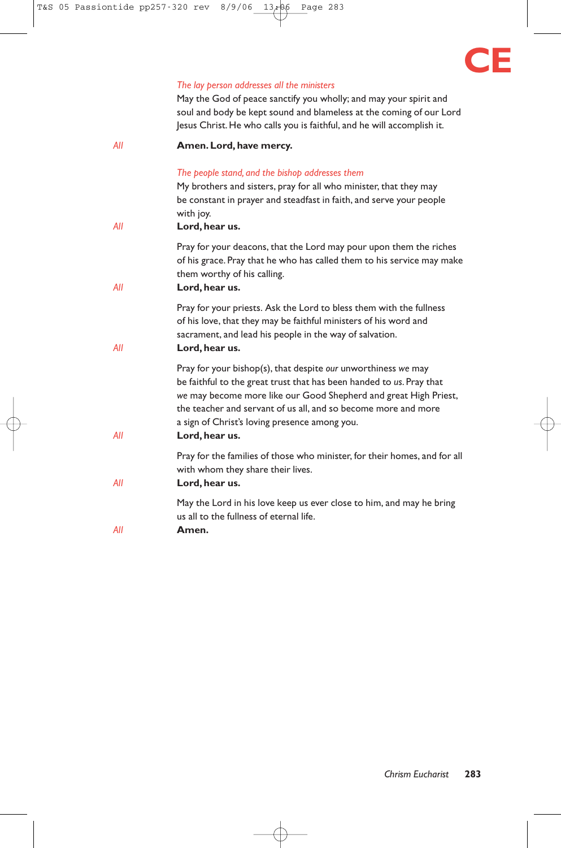

#### *The lay person addresses all the ministers*

May the God of peace sanctify you wholly; and may your spirit and soul and body be kept sound and blameless at the coming of our Lord Jesus Christ. He who calls you is faithful, and he will accomplish it.

| All | Amen. Lord, have mercy.                                                                                                                                                                                                                                                                                                                        |
|-----|------------------------------------------------------------------------------------------------------------------------------------------------------------------------------------------------------------------------------------------------------------------------------------------------------------------------------------------------|
| All | The people stand, and the bishop addresses them<br>My brothers and sisters, pray for all who minister, that they may<br>be constant in prayer and steadfast in faith, and serve your people<br>with joy.<br>Lord, hear us.                                                                                                                     |
|     |                                                                                                                                                                                                                                                                                                                                                |
| All | Pray for your deacons, that the Lord may pour upon them the riches<br>of his grace. Pray that he who has called them to his service may make<br>them worthy of his calling.<br>Lord, hear us.                                                                                                                                                  |
|     |                                                                                                                                                                                                                                                                                                                                                |
| All | Pray for your priests. Ask the Lord to bless them with the fullness<br>of his love, that they may be faithful ministers of his word and<br>sacrament, and lead his people in the way of salvation.<br>Lord, hear us.                                                                                                                           |
| All | Pray for your bishop(s), that despite our unworthiness we may<br>be faithful to the great trust that has been handed to us. Pray that<br>we may become more like our Good Shepherd and great High Priest,<br>the teacher and servant of us all, and so become more and more<br>a sign of Christ's loving presence among you.<br>Lord, hear us. |
|     | Pray for the families of those who minister, for their homes, and for all                                                                                                                                                                                                                                                                      |
| All | with whom they share their lives.<br>Lord, hear us.                                                                                                                                                                                                                                                                                            |
| All | May the Lord in his love keep us ever close to him, and may he bring<br>us all to the fullness of eternal life.<br>Amen.                                                                                                                                                                                                                       |
|     |                                                                                                                                                                                                                                                                                                                                                |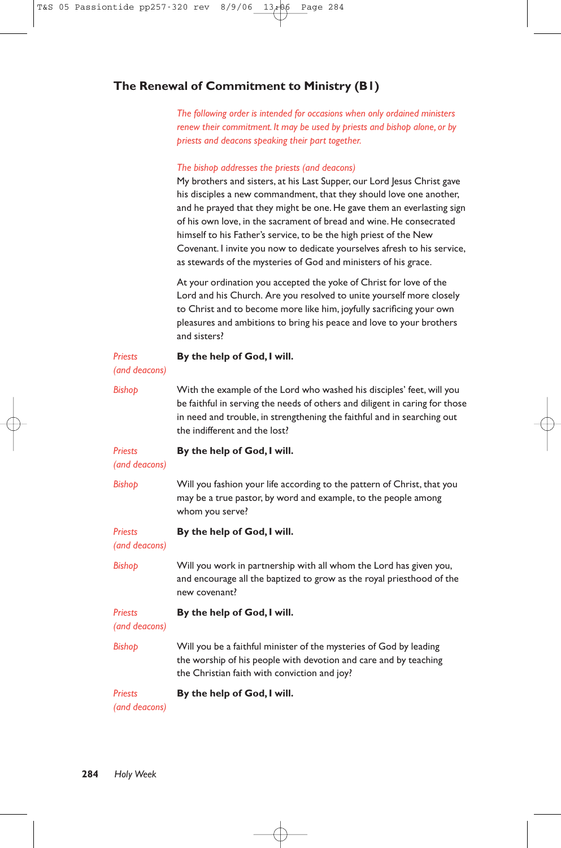#### **The Renewal of Commitment to Ministry (B1)**

*The following order is intended for occasions when only ordained ministers renew their commitment. It may be used by priests and bishop alone, or by priests and deacons speaking their part together.*

#### *The bishop addresses the priests (and deacons)*

My brothers and sisters, at his Last Supper, our Lord Jesus Christ gave his disciples a new commandment, that they should love one another, and he prayed that they might be one. He gave them an everlasting sign of his own love, in the sacrament of bread and wine. He consecrated himself to his Father's service, to be the high priest of the New Covenant. I invite you now to dedicate yourselves afresh to his service, as stewards of the mysteries of God and ministers of his grace.

At your ordination you accepted the yoke of Christ for love of the Lord and his Church. Are you resolved to unite yourself more closely to Christ and to become more like him, joyfully sacrificing your own pleasures and ambitions to bring his peace and love to your brothers and sisters?

#### *Priests* **By the help of God, I will.**

*(and deacons)*

| Bishob | With the example of the Lord who washed his disciples' feet, will you       |
|--------|-----------------------------------------------------------------------------|
|        | be faithful in serving the needs of others and diligent in caring for those |
|        | in need and trouble, in strengthening the faithful and in searching out     |
|        | the indifferent and the lost?                                               |

| <b>Priests</b><br>(and deacons) | By the help of God, I will.                                                                                                                                  |
|---------------------------------|--------------------------------------------------------------------------------------------------------------------------------------------------------------|
| Bishop                          | Will you fashion your life according to the pattern of Christ, that you<br>may be a true pastor, by word and example, to the people among<br>whom you serve? |
| <b>Priests</b>                  | By the help of God, I will.                                                                                                                                  |

*(and deacons)*

*Bishop* Will you work in partnership with all whom the Lord has given you, and encourage all the baptized to grow as the royal priesthood of the new covenant?

*Priests* **By the help of God, I will.**

*(and deacons)*

*Bishop* Will you be a faithful minister of the mysteries of God by leading the worship of his people with devotion and care and by teaching the Christian faith with conviction and joy?

#### *Priests* **By the help of God, I will.**

*(and deacons)*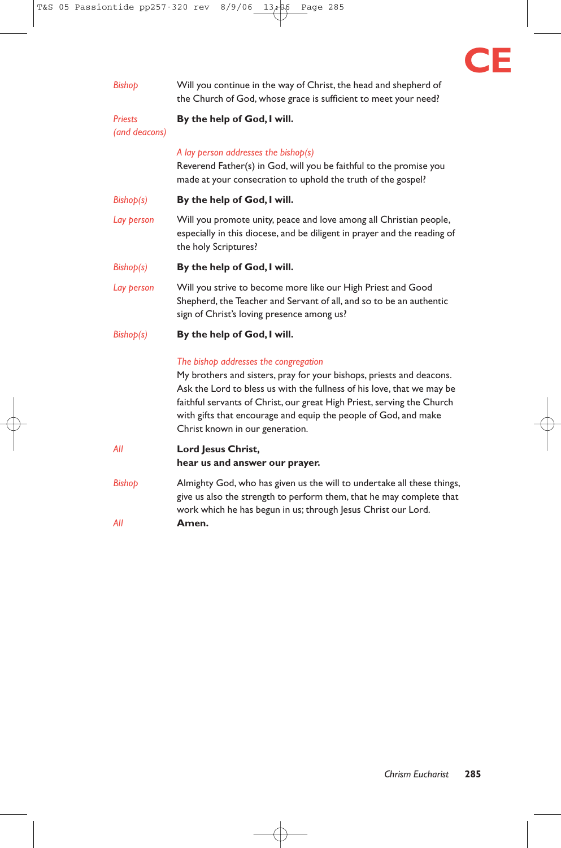

| Bishop | Will you continue in the way of Christ, the head and shepherd of |
|--------|------------------------------------------------------------------|
|        | the Church of God, whose grace is sufficient to meet your need?  |

#### *Priests* **By the help of God, I will.**

*(and deacons)*

*A lay person addresses the bishop(s)*

Reverend Father(s) in God, will you be faithful to the promise you made at your consecration to uphold the truth of the gospel?

#### *Bishop(s)* **By the help of God, I will.**

*Lay person* Will you promote unity, peace and love among all Christian people, especially in this diocese, and be diligent in prayer and the reading of the holy Scriptures?

*Bishop(s)* **By the help of God, I will.**

- *Lay person* Will you strive to become more like our High Priest and Good Shepherd, the Teacher and Servant of all, and so to be an authentic sign of Christ's loving presence among us?
- *Bishop(s)* **By the help of God, I will.**

#### *The bishop addresses the congregation*

My brothers and sisters, pray for your bishops, priests and deacons. Ask the Lord to bless us with the fullness of his love, that we may be faithful servants of Christ, our great High Priest, serving the Church with gifts that encourage and equip the people of God, and make Christ known in our generation.

#### *All* **Lord Jesus Christ, hear us and answer our prayer.**

*Bishop* Almighty God, who has given us the will to undertake all these things, give us also the strength to perform them, that he may complete that work which he has begun in us; through Jesus Christ our Lord. *All* **Amen.**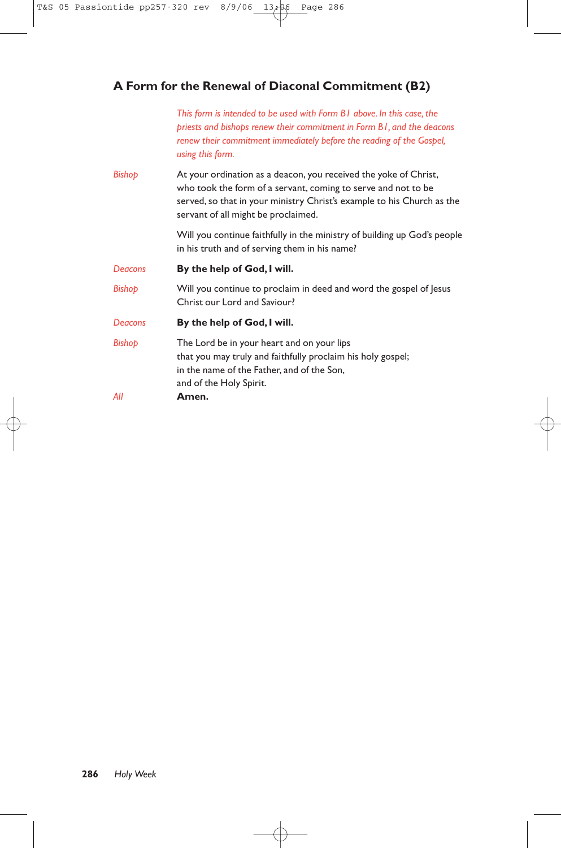#### **A Form for the Renewal of Diaconal Commitment (B2)**

*This form is intended to be used with Form B1 above. In this case, the priests and bishops renew their commitment in Form B1, and the deacons renew their commitment immediately before the reading of the Gospel, using this form.*

*Bishop* At your ordination as a deacon, you received the yoke of Christ, who took the form of a servant, coming to serve and not to be served, so that in your ministry Christ's example to his Church as the servant of all might be proclaimed.

> Will you continue faithfully in the ministry of building up God's people in his truth and of serving them in his name?

- *Deacons* **By the help of God, I will.**
- *Bishop* Will you continue to proclaim in deed and word the gospel of Jesus Christ our Lord and Saviour?
- *Deacons* **By the help of God, I will.**
- *Bishop* The Lord be in your heart and on your lips that you may truly and faithfully proclaim his holy gospel; in the name of the Father, and of the Son, and of the Holy Spirit. *All* **Amen.**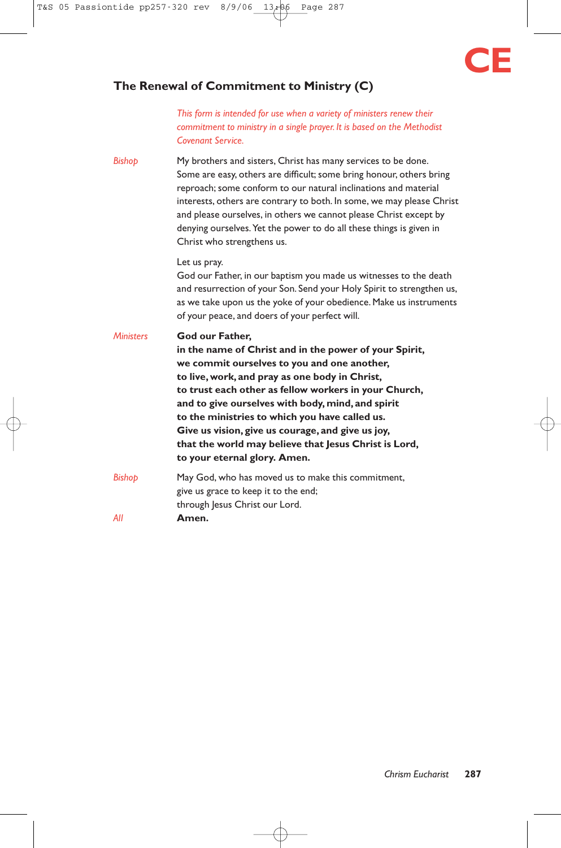#### **The Renewal of Commitment to Ministry (C)**

*This form is intended for use when a variety of ministers renew their commitment to ministry in a single prayer. It is based on the Methodist Covenant Service.*

*Bishop* My brothers and sisters, Christ has many services to be done. Some are easy, others are difficult; some bring honour, others bring reproach; some conform to our natural inclinations and material interests, others are contrary to both. In some, we may please Christ and please ourselves, in others we cannot please Christ except by denying ourselves.Yet the power to do all these things is given in Christ who strengthens us.

#### Let us pray.

God our Father, in our baptism you made us witnesses to the death and resurrection of your Son. Send your Holy Spirit to strengthen us, as we take upon us the yoke of your obedience. Make us instruments of your peace, and doers of your perfect will.

## *Ministers* **God our Father, in the name of Christ and in the power of your Spirit, we commit ourselves to you and one another,**

**to live, work, and pray as one body in Christ, to trust each other as fellow workers in your Church, and to give ourselves with body, mind, and spirit to the ministries to which you have called us. Give us vision, give us courage, and give us joy, that the world may believe that Jesus Christ is Lord, to your eternal glory. Amen.**

*Bishop* May God, who has moved us to make this commitment, give us grace to keep it to the end; through Jesus Christ our Lord. *All* **Amen.**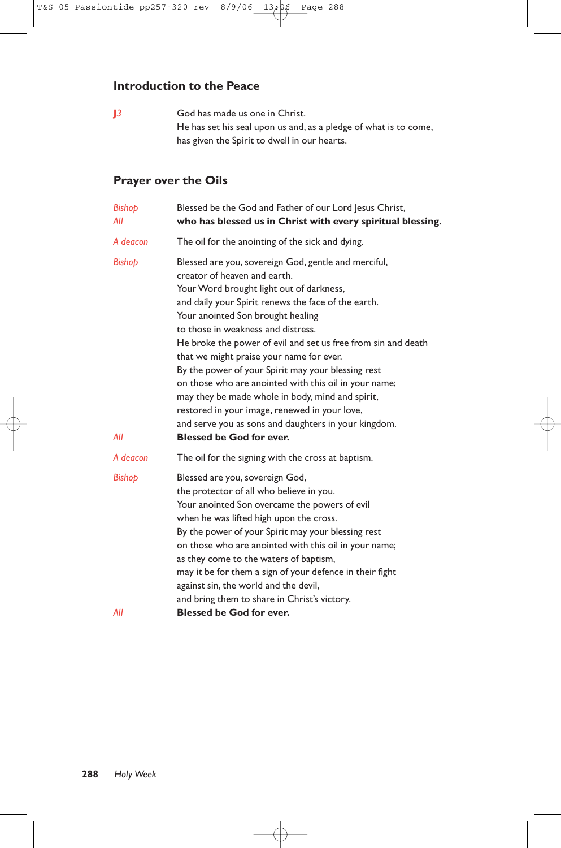#### **Introduction to the Peace**

**J***3* God has made us one in Christ. He has set his seal upon us and, as a pledge of what is to come, has given the Spirit to dwell in our hearts.

#### **Prayer over the Oils**

| <b>Bishop</b><br>All | Blessed be the God and Father of our Lord Jesus Christ,<br>who has blessed us in Christ with every spiritual blessing.                                                                                                                                                                                                                                                                                                                                                                                                                                                                                                                                                                         |
|----------------------|------------------------------------------------------------------------------------------------------------------------------------------------------------------------------------------------------------------------------------------------------------------------------------------------------------------------------------------------------------------------------------------------------------------------------------------------------------------------------------------------------------------------------------------------------------------------------------------------------------------------------------------------------------------------------------------------|
| A deacon             | The oil for the anointing of the sick and dying.                                                                                                                                                                                                                                                                                                                                                                                                                                                                                                                                                                                                                                               |
| <b>Bishop</b><br>All | Blessed are you, sovereign God, gentle and merciful,<br>creator of heaven and earth.<br>Your Word brought light out of darkness,<br>and daily your Spirit renews the face of the earth.<br>Your anointed Son brought healing<br>to those in weakness and distress.<br>He broke the power of evil and set us free from sin and death<br>that we might praise your name for ever.<br>By the power of your Spirit may your blessing rest<br>on those who are anointed with this oil in your name;<br>may they be made whole in body, mind and spirit,<br>restored in your image, renewed in your love,<br>and serve you as sons and daughters in your kingdom.<br><b>Blessed be God for ever.</b> |
| A deacon             | The oil for the signing with the cross at baptism.                                                                                                                                                                                                                                                                                                                                                                                                                                                                                                                                                                                                                                             |
| <b>Bishop</b>        | Blessed are you, sovereign God,<br>the protector of all who believe in you.<br>Your anointed Son overcame the powers of evil<br>when he was lifted high upon the cross.<br>By the power of your Spirit may your blessing rest<br>on those who are anointed with this oil in your name;<br>as they come to the waters of baptism,<br>may it be for them a sign of your defence in their fight<br>against sin, the world and the devil,<br>and bring them to share in Christ's victory.                                                                                                                                                                                                          |
| All                  | <b>Blessed be God for ever.</b>                                                                                                                                                                                                                                                                                                                                                                                                                                                                                                                                                                                                                                                                |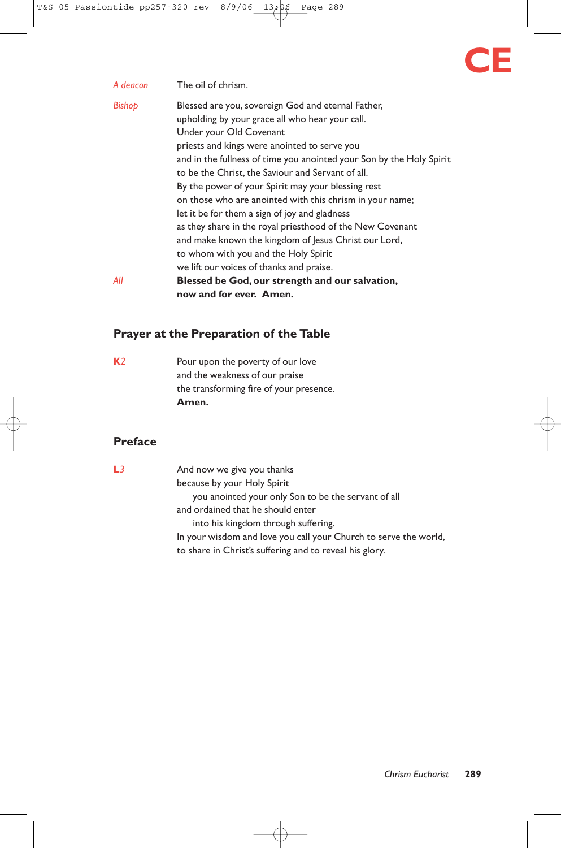

| A deacon | The oil of chrism.                                                   |
|----------|----------------------------------------------------------------------|
| Bishop   | Blessed are you, sovereign God and eternal Father,                   |
|          | upholding by your grace all who hear your call.                      |
|          | Under your Old Covenant                                              |
|          | priests and kings were anointed to serve you                         |
|          | and in the fullness of time you anointed your Son by the Holy Spirit |
|          | to be the Christ, the Saviour and Servant of all.                    |
|          | By the power of your Spirit may your blessing rest                   |
|          | on those who are anointed with this chrism in your name;             |
|          | let it be for them a sign of joy and gladness                        |
|          | as they share in the royal priesthood of the New Covenant            |
|          | and make known the kingdom of Jesus Christ our Lord,                 |
|          | to whom with you and the Holy Spirit                                 |
|          | we lift our voices of thanks and praise.                             |
| All      | Blessed be God, our strength and our salvation,                      |
|          | now and for ever. Amen.                                              |

#### **Prayer at the Preparation of the Table**

**K***2* Pour upon the poverty of our love and the weakness of our praise the transforming fire of your presence. **Amen.**

#### **Preface**

**L**<sup>3</sup> And now we give you thanks because by your Holy Spirit you anointed your only Son to be the servant of all and ordained that he should enter into his kingdom through suffering. In your wisdom and love you call your Church to serve the world, to share in Christ's suffering and to reveal his glory.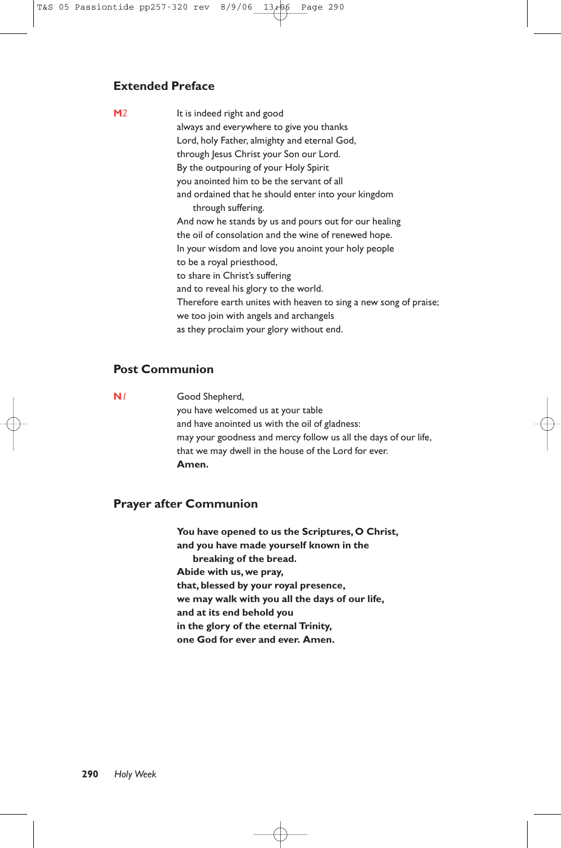#### **Extended Preface**

| M <sub>2</sub> | It is indeed right and good                                      |
|----------------|------------------------------------------------------------------|
|                | always and everywhere to give you thanks                         |
|                | Lord, holy Father, almighty and eternal God,                     |
|                | through Jesus Christ your Son our Lord.                          |
|                | By the outpouring of your Holy Spirit                            |
|                | you anointed him to be the servant of all                        |
|                | and ordained that he should enter into your kingdom              |
|                | through suffering.                                               |
|                | And now he stands by us and pours out for our healing            |
|                | the oil of consolation and the wine of renewed hope.             |
|                | In your wisdom and love you anoint your holy people              |
|                | to be a royal priesthood,                                        |
|                | to share in Christ's suffering                                   |
|                | and to reveal his glory to the world.                            |
|                | Therefore earth unites with heaven to sing a new song of praise; |
|                | we too join with angels and archangels                           |
|                | as they proclaim your glory without end.                         |
|                |                                                                  |

#### **Post Communion**

**N***1* Good Shepherd, you have welcomed us at your table and have anointed us with the oil of gladness: may your goodness and mercy follow us all the days of our life, that we may dwell in the house of the Lord for ever. **Amen.**

#### **Prayer after Communion**

**You have opened to us the Scriptures, O Christ, and you have made yourself known in the breaking of the bread. Abide with us,we pray, that, blessed by your royal presence, we may walk with you all the days of our life, and at its end behold you in the glory of the eternal Trinity, one God for ever and ever. Amen.**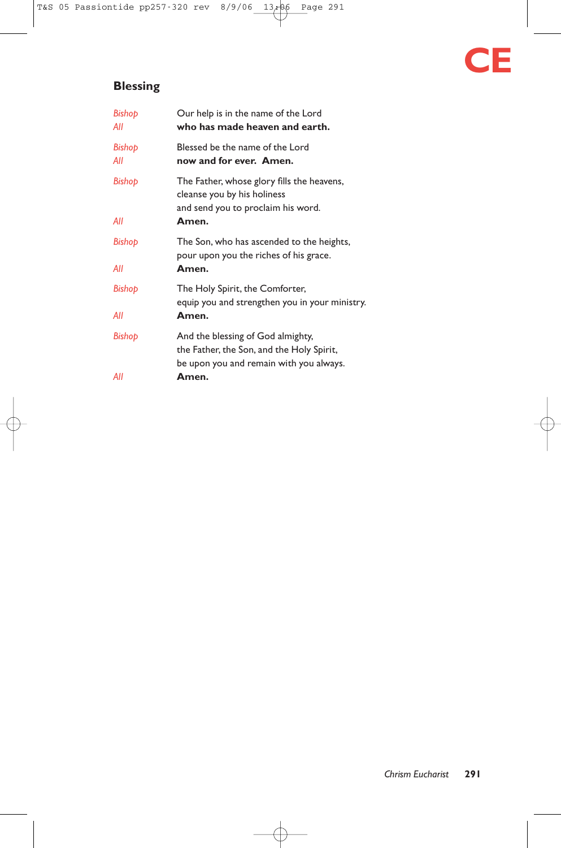# **CE**

## **Blessing**

| <b>Bishop</b><br>All | Our help is in the name of the Lord<br>who has made heaven and earth.                                                     |
|----------------------|---------------------------------------------------------------------------------------------------------------------------|
| <b>Bishop</b><br>All | Blessed be the name of the Lord<br>now and for ever. Amen.                                                                |
| Bishop<br>All        | The Father, whose glory fills the heavens,<br>cleanse you by his holiness<br>and send you to proclaim his word.<br>Amen.  |
| Bishop<br>All        | The Son, who has ascended to the heights,<br>pour upon you the riches of his grace.<br>Amen.                              |
| Bishop<br>All        | The Holy Spirit, the Comforter,<br>equip you and strengthen you in your ministry.<br>Amen.                                |
| Bishop               | And the blessing of God almighty,<br>the Father, the Son, and the Holy Spirit,<br>be upon you and remain with you always. |
| All                  | Amen.                                                                                                                     |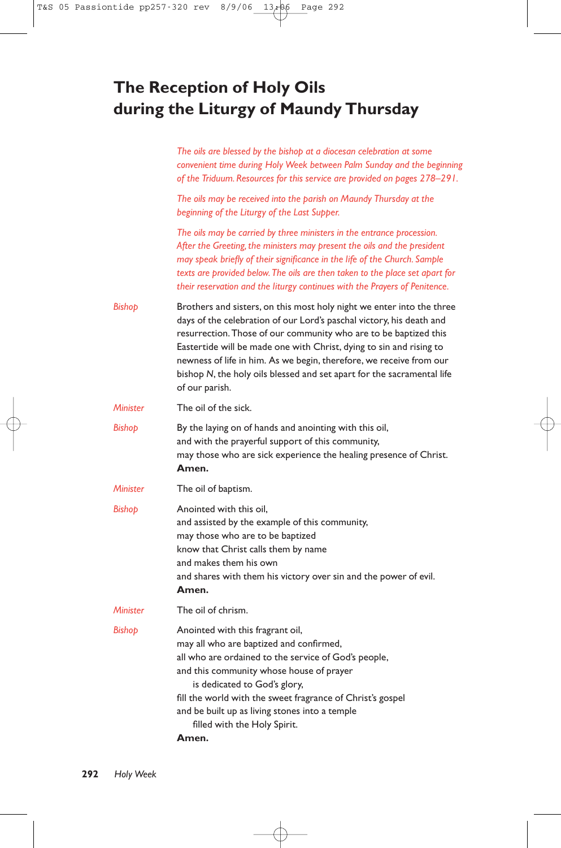# **The Reception of Holy Oils during the Liturgy of Maundy Thursday**

*The oils are blessed by the bishop at a diocesan celebration at some convenient time during Holy Week between Palm Sunday and the beginning of the Triduum. Resources for this service are provided on pages 278–291.*

*The oils may be received into the parish on Maundy Thursday at the beginning of the Liturgy of the Last Supper.*

*The oils may be carried by three ministers in the entrance procession. After the Greeting, the ministers may present the oils and the president may speak briefly of their significance in the life of the Church. Sample texts are provided below.The oils are then taken to the place set apart for their reservation and the liturgy continues with the Prayers of Penitence.*

*Bishop* Brothers and sisters, on this most holy night we enter into the three days of the celebration of our Lord's paschal victory, his death and resurrection.Those of our community who are to be baptized this Eastertide will be made one with Christ, dying to sin and rising to newness of life in him. As we begin, therefore, we receive from our bishop *N*, the holy oils blessed and set apart for the sacramental life of our parish.

*Minister* The oil of the sick.

- *Bishop* By the laying on of hands and anointing with this oil, and with the prayerful support of this community, may those who are sick experience the healing presence of Christ. **Amen.**
- *Minister* The oil of baptism.
- **Bishop Anointed with this oil,** and assisted by the example of this community, may those who are to be baptized know that Christ calls them by name and makes them his own and shares with them his victory over sin and the power of evil. **Amen.** *Minister* The oil of chrism. **Bishop Anointed with this fragrant oil,** may all who are baptized and confirmed, all who are ordained to the service of God's people,

and this community whose house of prayer is dedicated to God's glory,

fill the world with the sweet fragrance of Christ's gospel and be built up as living stones into a temple

filled with the Holy Spirit.

**Amen.**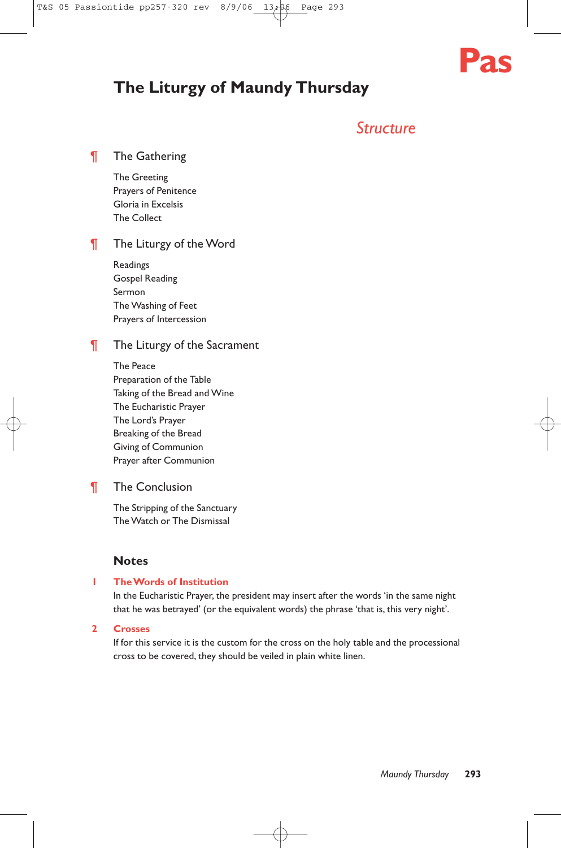# **Pas**

# **The Liturgy of Maundy Thursday**

## *Structure*

#### ¶ The Gathering

The Greeting Prayers of Penitence Gloria in Excelsis The Collect

#### **The Liturgy of the Word**

Readings Gospel Reading Sermon The Washing of Feet Prayers of Intercession

#### **The Liturgy of the Sacrament**

The Peace Preparation of the Table Taking of the Bread and Wine The Eucharistic Prayer The Lord's Prayer Breaking of the Bread Giving of Communion Prayer after Communion

#### ¶ The Conclusion

The Stripping of the Sanctuary The Watch or The Dismissal

#### **Notes**

#### **1 The Words of Institution**

In the Eucharistic Prayer, the president may insert after the words 'in the same night that he was betrayed' (or the equivalent words) the phrase 'that is, this very night'.

#### **2 Crosses**

If for this service it is the custom for the cross on the holy table and the processional cross to be covered, they should be veiled in plain white linen.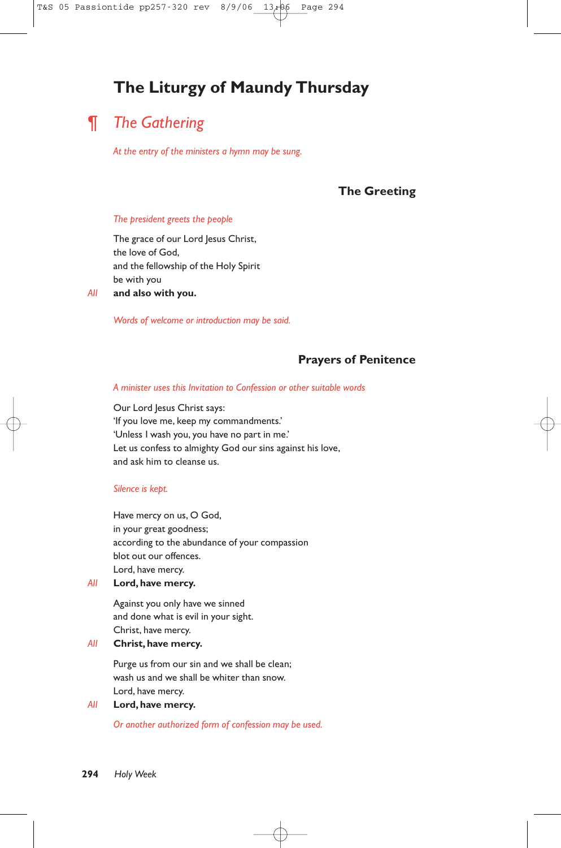# **The Liturgy of Maundy Thursday**

## ¶ *The Gathering*

*At the entry of the ministers a hymn may be sung.*

#### **The Greeting**

#### *The president greets the people*

The grace of our Lord Jesus Christ, the love of God, and the fellowship of the Holy Spirit be with you

#### *All* **and also with you.**

*Words of welcome or introduction may be said.*

#### **Prayers of Penitence**

#### *A minister uses this Invitation to Confession or other suitable words*

Our Lord Jesus Christ says: 'If you love me, keep my commandments.' 'Unless I wash you, you have no part in me.' Let us confess to almighty God our sins against his love, and ask him to cleanse us.

#### *Silence is kept.*

Have mercy on us, O God, in your great goodness; according to the abundance of your compassion blot out our offences. Lord, have mercy.

#### *All* **Lord, have mercy.**

Against you only have we sinned and done what is evil in your sight. Christ, have mercy.

#### *All* **Christ, have mercy.**

Purge us from our sin and we shall be clean; wash us and we shall be whiter than snow. Lord, have mercy.

#### *All* **Lord, have mercy.**

*Or another authorized form of confession may be used.*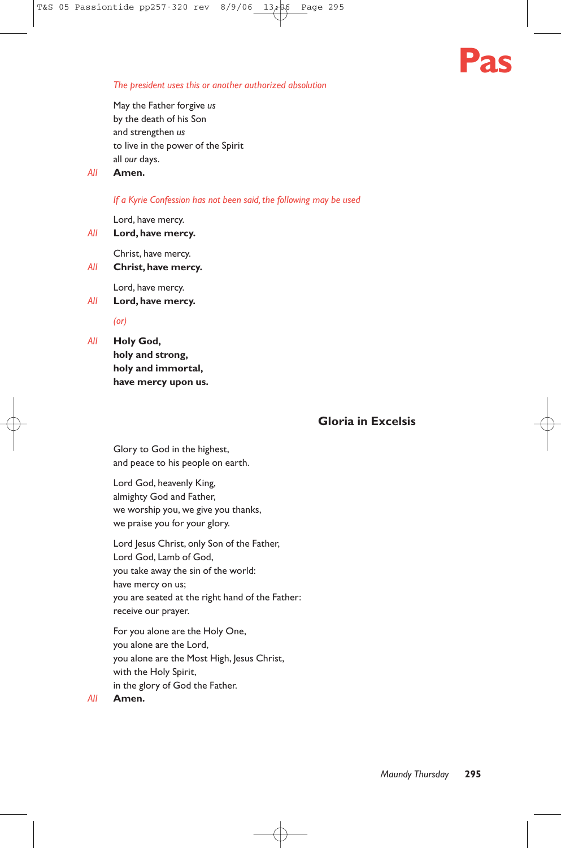

#### *The president uses this or another authorized absolution*

May the Father forgive *us* by the death of his Son and strengthen *us* to live in the power of the Spirit all *our* days.

*All* **Amen.**

#### *If a Kyrie Confession has not been said, the following may be used*

Lord, have mercy.

*All* **Lord, have mercy.**

Christ, have mercy.

*All* **Christ, have mercy.**

Lord, have mercy.

*All* **Lord, have mercy.**

*(or)*

*All* **Holy God, holy and strong, holy and immortal, have mercy upon us.**

#### **Gloria in Excelsis**

Glory to God in the highest, and peace to his people on earth.

Lord God, heavenly King, almighty God and Father, we worship you, we give you thanks, we praise you for your glory.

Lord Jesus Christ, only Son of the Father, Lord God, Lamb of God, you take away the sin of the world: have mercy on us; you are seated at the right hand of the Father: receive our prayer.

For you alone are the Holy One, you alone are the Lord, you alone are the Most High, Jesus Christ, with the Holy Spirit, in the glory of God the Father.

*All* **Amen.**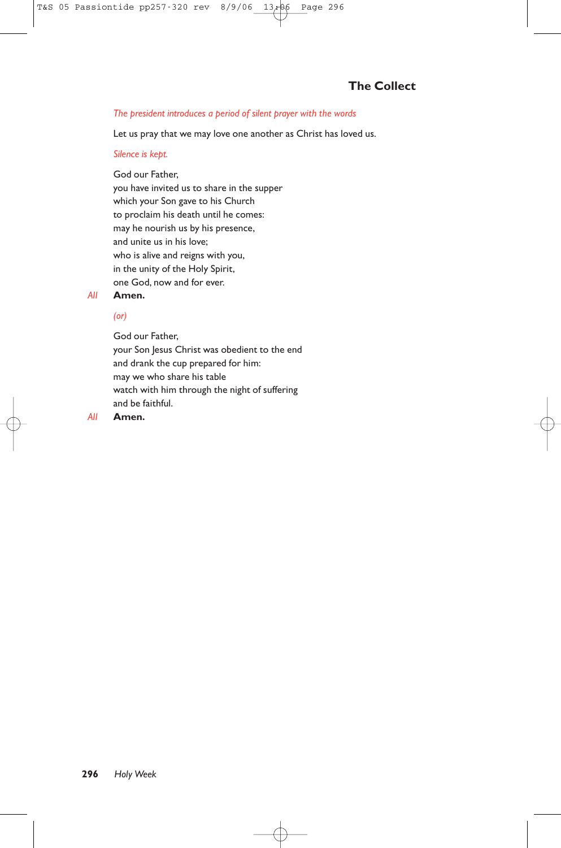#### *The president introduces a period of silent prayer with the words*

Let us pray that we may love one another as Christ has loved us.

#### *Silence is kept.*

God our Father, you have invited us to share in the supper which your Son gave to his Church to proclaim his death until he comes: may he nourish us by his presence, and unite us in his love; who is alive and reigns with you, in the unity of the Holy Spirit, one God, now and for ever.

#### *All* **Amen.**

#### *(or)*

God our Father,

your Son Jesus Christ was obedient to the end and drank the cup prepared for him: may we who share his table watch with him through the night of suffering and be faithful.

#### *All* **Amen.**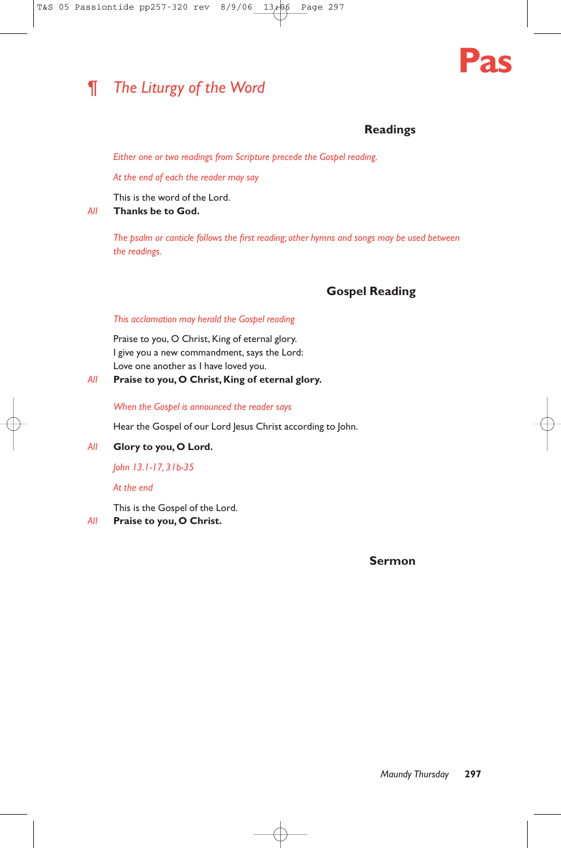# ¶ *The Liturgy of the Word*



#### **Readings**

*Either one or two readings from Scripture precede the Gospel reading.*

*At the end of each the reader may say*

This is the word of the Lord.

*All* **Thanks be to God.**

*The psalm or canticle follows the first reading; other hymns and songs may be used between the readings.*

#### **Gospel Reading**

#### *This acclamation may herald the Gospel reading*

Praise to you, O Christ, King of eternal glory. I give you a new commandment, says the Lord: Love one another as I have loved you.

#### *All* **Praise to you, O Christ, King of eternal glory.**

#### *When the Gospel is announced the reader says*

Hear the Gospel of our Lord Jesus Christ according to John.

*All* **Glory to you, O Lord.**

*John 13.1-17, 31b-35*

#### *At the end*

This is the Gospel of the Lord.

*All* **Praise to you, O Christ.**

#### **Sermon**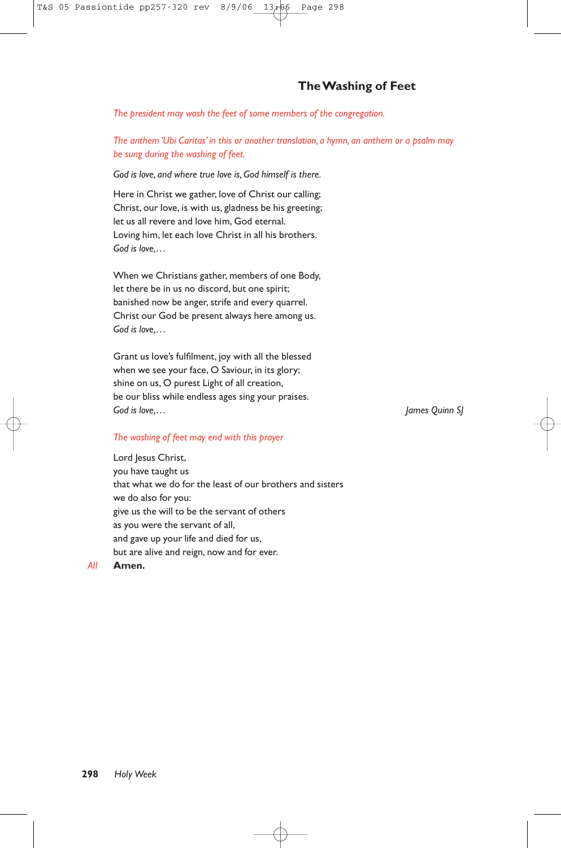*The president may wash the feet of some members of the congregation.*

*The anthem 'Ubi Caritas' in this or another translation, a hymn, an anthem or a psalm may be sung during the washing of feet.*

*God is love, and where true love is, God himself is there.*

Here in Christ we gather, love of Christ our calling; Christ, our love, is with us, gladness be his greeting; let us all revere and love him, God eternal. Loving him, let each love Christ in all his brothers. *God is love,…*

When we Christians gather, members of one Body, let there be in us no discord, but one spirit; banished now be anger, strife and every quarrel. Christ our God be present always here among us. *God is love,…*

Grant us love's fulfilment, joy with all the blessed when we see your face, O Saviour, in its glory; shine on us, O purest Light of all creation, be our bliss while endless ages sing your praises. *God is love,… James Quinn SJ*

#### *The washing of feet may end with this prayer*

Lord Jesus Christ, you have taught us that what we do for the least of our brothers and sisters we do also for you: give us the will to be the servant of others as you were the servant of all, and gave up your life and died for us, but are alive and reign, now and for ever.

*All* **Amen.**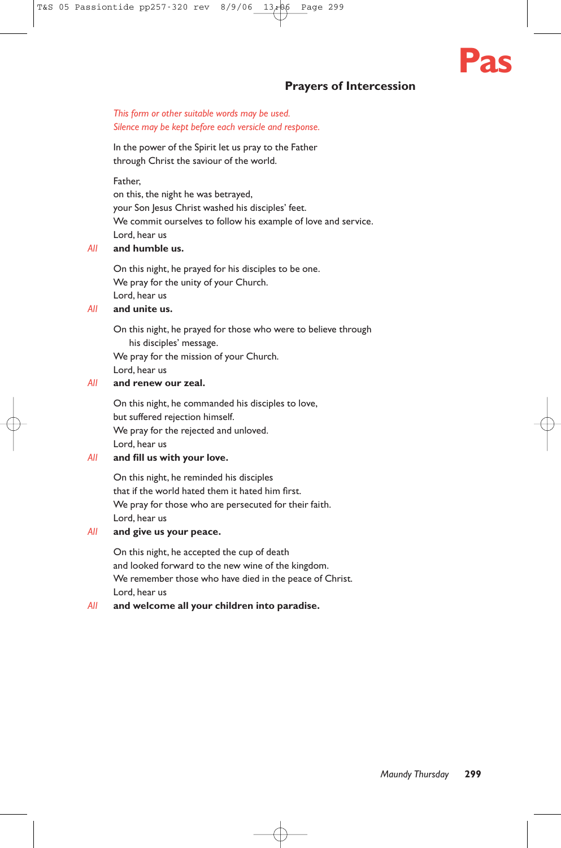#### **Prayers of Intercession**

# **Pas**

*This form or other suitable words may be used. Silence may be kept before each versicle and response.*

In the power of the Spirit let us pray to the Father through Christ the saviour of the world.

Father, on this, the night he was betrayed, your Son Jesus Christ washed his disciples' feet. We commit ourselves to follow his example of love and service. Lord, hear us

#### *All* **and humble us.**

On this night, he prayed for his disciples to be one. We pray for the unity of your Church. Lord, hear us

#### *All* **and unite us.**

On this night, he prayed for those who were to believe through his disciples' message.

We pray for the mission of your Church.

Lord, hear us

#### *All* **and renew our zeal.**

On this night, he commanded his disciples to love, but suffered rejection himself. We pray for the rejected and unloved. Lord, hear us

#### *All* **and fill us with your love.**

On this night, he reminded his disciples that if the world hated them it hated him first. We pray for those who are persecuted for their faith. Lord, hear us

#### *All* **and give us your peace.**

On this night, he accepted the cup of death and looked forward to the new wine of the kingdom. We remember those who have died in the peace of Christ. Lord, hear us

#### *All* **and welcome all your children into paradise.**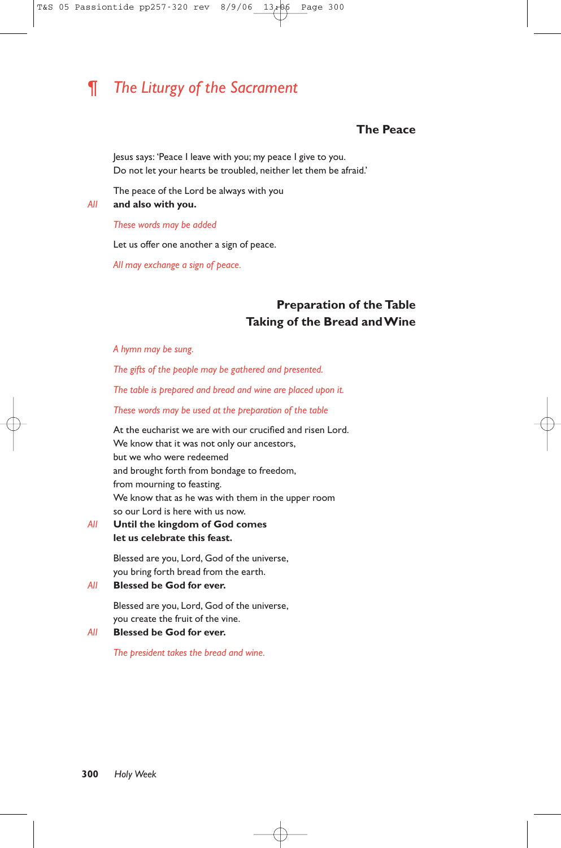# ¶ *The Liturgy of the Sacrament*

#### **The Peace**

Jesus says: 'Peace I leave with you; my peace I give to you. Do not let your hearts be troubled, neither let them be afraid.'

The peace of the Lord be always with you

*All* **and also with you.**

*These words may be added*

Let us offer one another a sign of peace.

*All may exchange a sign of peace.*

#### **Preparation of the Table Taking of the Bread and Wine**

*A hymn may be sung. The gifts of the people may be gathered and presented. The table is prepared and bread and wine are placed upon it. These words may be used at the preparation of the table* At the eucharist we are with our crucified and risen Lord. We know that it was not only our ancestors, but we who were redeemed

and brought forth from bondage to freedom, from mourning to feasting.

We know that as he was with them in the upper room so our Lord is here with us now.

*All* **Until the kingdom of God comes let us celebrate this feast.**

> Blessed are you, Lord, God of the universe, you bring forth bread from the earth.

*All* **Blessed be God for ever.**

Blessed are you, Lord, God of the universe, you create the fruit of the vine.

#### *All* **Blessed be God for ever.**

*The president takes the bread and wine.*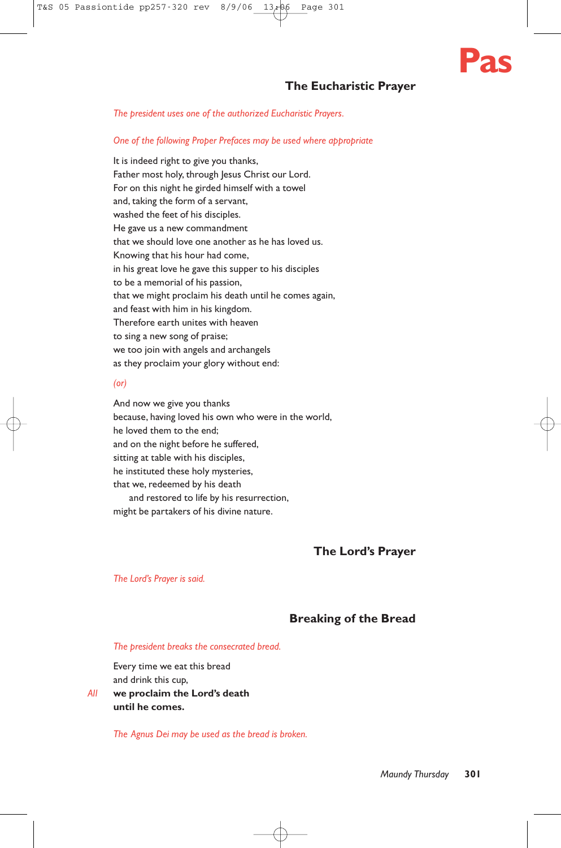#### **The Eucharistic Prayer**

*The president uses one of the authorized Eucharistic Prayers.*

#### *One of the following Proper Prefaces may be used where appropriate*

It is indeed right to give you thanks, Father most holy, through Jesus Christ our Lord. For on this night he girded himself with a towel and, taking the form of a servant, washed the feet of his disciples. He gave us a new commandment that we should love one another as he has loved us. Knowing that his hour had come, in his great love he gave this supper to his disciples to be a memorial of his passion, that we might proclaim his death until he comes again, and feast with him in his kingdom. Therefore earth unites with heaven to sing a new song of praise; we too join with angels and archangels as they proclaim your glory without end:

#### *(or)*

And now we give you thanks because, having loved his own who were in the world, he loved them to the end; and on the night before he suffered, sitting at table with his disciples, he instituted these holy mysteries, that we, redeemed by his death and restored to life by his resurrection, might be partakers of his divine nature.

#### **The Lord's Prayer**

*The Lord's Prayer is said.*

#### **Breaking of the Bread**

#### *The president breaks the consecrated bread.*

Every time we eat this bread and drink this cup,

*All* **we proclaim the Lord's death until he comes.**

*The Agnus Dei may be used as the bread is broken.*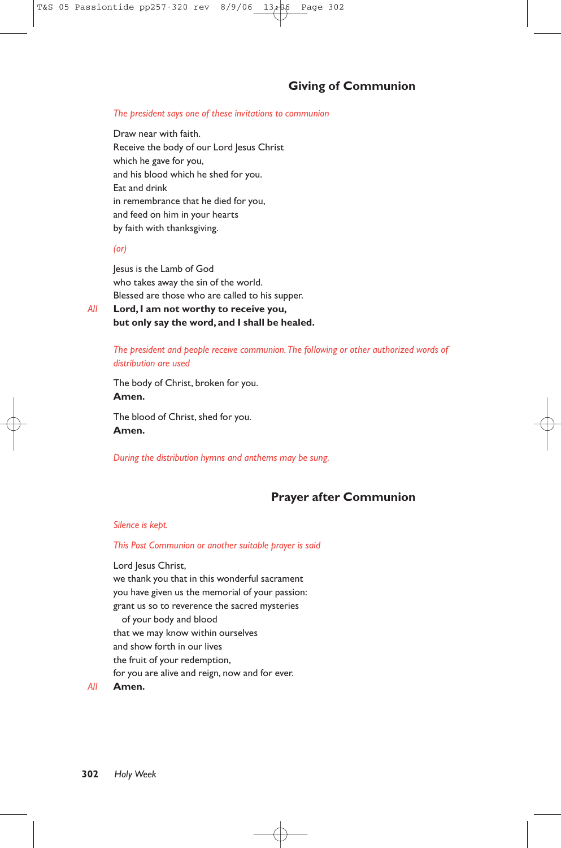#### **Giving of Communion**

#### *The president says one of these invitations to communion*

Draw near with faith. Receive the body of our Lord Jesus Christ which he gave for you, and his blood which he shed for you. Eat and drink in remembrance that he died for you, and feed on him in your hearts by faith with thanksgiving.

#### *(or)*

Jesus is the Lamb of God who takes away the sin of the world. Blessed are those who are called to his supper.

*All* **Lord, I am not worthy to receive you, but only say the word, and I shall be healed.**

> *The president and people receive communion.The following or other authorized words of distribution are used*

The body of Christ, broken for you. **Amen.**

The blood of Christ, shed for you. **Amen.**

*During the distribution hymns and anthems may be sung.*

#### **Prayer after Communion**

#### *Silence is kept.*

#### *This Post Communion or another suitable prayer is said*

Lord Jesus Christ,

we thank you that in this wonderful sacrament you have given us the memorial of your passion: grant us so to reverence the sacred mysteries of your body and blood

that we may know within ourselves and show forth in our lives

the fruit of your redemption,

for you are alive and reign, now and for ever.

#### *All* **Amen.**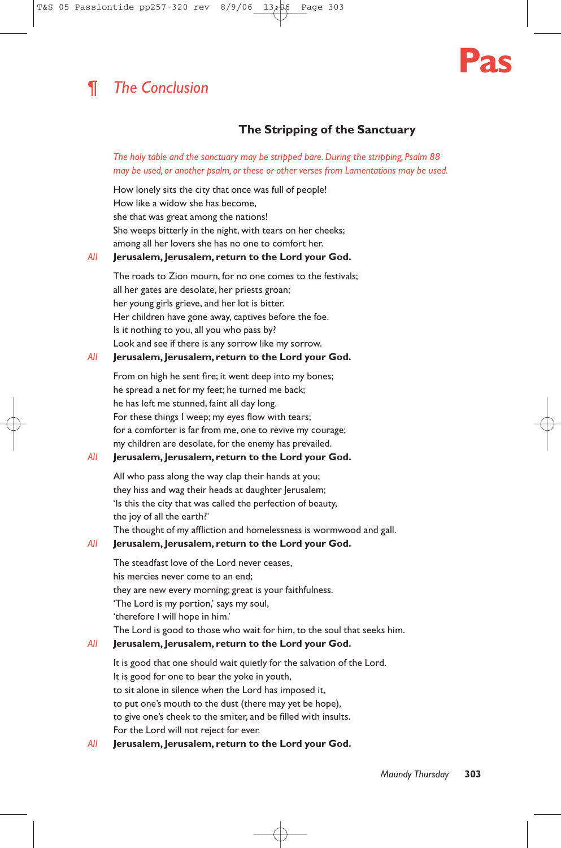# ¶ *The Conclusion*



#### **The Stripping of the Sanctuary**

*The holy table and the sanctuary may be stripped bare. During the stripping, Psalm 88 may be used, or another psalm, or these or other verses from Lamentations may be used.*

How lonely sits the city that once was full of people! How like a widow she has become, she that was great among the nations! She weeps bitterly in the night, with tears on her cheeks; among all her lovers she has no one to comfort her.

#### *All* **Jerusalem, Jerusalem, return to the Lord your God.**

The roads to Zion mourn, for no one comes to the festivals; all her gates are desolate, her priests groan; her young girls grieve, and her lot is bitter. Her children have gone away, captives before the foe. Is it nothing to you, all you who pass by? Look and see if there is any sorrow like my sorrow.

#### *All* **Jerusalem,Jerusalem, return to the Lord your God.**

From on high he sent fire; it went deep into my bones; he spread a net for my feet; he turned me back; he has left me stunned, faint all day long. For these things I weep; my eyes flow with tears; for a comforter is far from me, one to revive my courage; my children are desolate, for the enemy has prevailed.

#### *All* **Jerusalem, Jerusalem, return to the Lord your God.**

All who pass along the way clap their hands at you; they hiss and wag their heads at daughter Jerusalem; 'Is this the city that was called the perfection of beauty, the joy of all the earth?' The thought of my affliction and homelessness is wormwood and gall.

#### *All* **Jerusalem, Jerusalem, return to the Lord your God.**

The steadfast love of the Lord never ceases, his mercies never come to an end; they are new every morning; great is your faithfulness. 'The Lord is my portion,' says my soul, 'therefore I will hope in him.' The Lord is good to those who wait for him, to the soul that seeks him.

#### *All* **Jerusalem, Jerusalem, return to the Lord your God.**

It is good that one should wait quietly for the salvation of the Lord. It is good for one to bear the yoke in youth, to sit alone in silence when the Lord has imposed it, to put one's mouth to the dust (there may yet be hope), to give one's cheek to the smiter, and be filled with insults. For the Lord will not reject for ever.

#### *All* **Jerusalem, Jerusalem, return to the Lord your God.**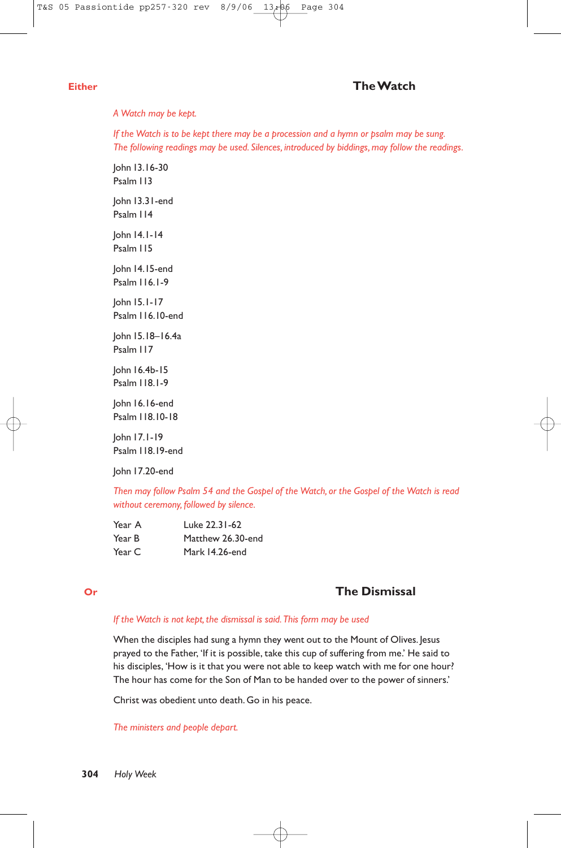#### **Either The Watch**

#### *A Watch may be kept.*

*If the Watch is to be kept there may be a procession and a hymn or psalm may be sung. The following readings may be used. Silences, introduced by biddings, may follow the readings.*

John 13.16-30 Psalm 113 John 13.31-end Psalm 114 John 14.1-14 Psalm 115 John 14.15-end Psalm 116.1-9 John 15.1-17 Psalm 116.10-end John 15.18–16.4a Psalm 117 John 16.4b-15 Psalm 118.1-9

John 16.16-end Psalm 118.10-18

John 17.1-19 Psalm 118.19-end

John 17.20-end

*Then may follow Psalm 54 and the Gospel of the Watch, or the Gospel of the Watch is read without ceremony, followed by silence.*

| Year A | Luke 22.31-62     |
|--------|-------------------|
| Year B | Matthew 26.30-end |
| Year C | Mark 14.26-end    |

#### **Or The Dismissal**

#### *If the Watch is not kept, the dismissal is said.This form may be used*

When the disciples had sung a hymn they went out to the Mount of Olives. Jesus prayed to the Father, 'If it is possible, take this cup of suffering from me.' He said to his disciples, 'How is it that you were not able to keep watch with me for one hour? The hour has come for the Son of Man to be handed over to the power of sinners.'

Christ was obedient unto death. Go in his peace.

*The ministers and people depart.*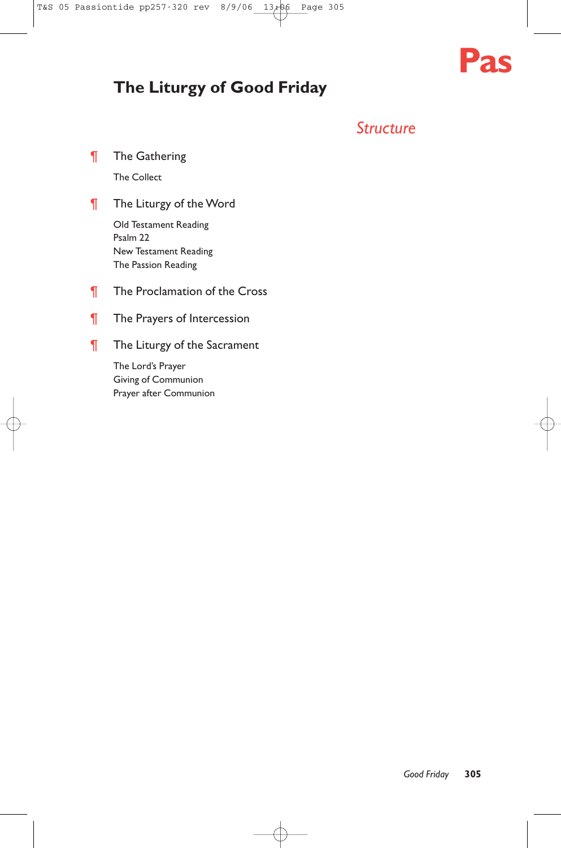# **The Liturgy of Good Friday**

# **Pas**

## *Structure*

The Collect

**The Liturgy of the Word** 

Old Testament Reading Psalm 22 New Testament Reading The Passion Reading

- **T** The Proclamation of the Cross
- **The Prayers of Intercession**
- **The Liturgy of the Sacrament**

The Lord's Prayer Giving of Communion Prayer after Communion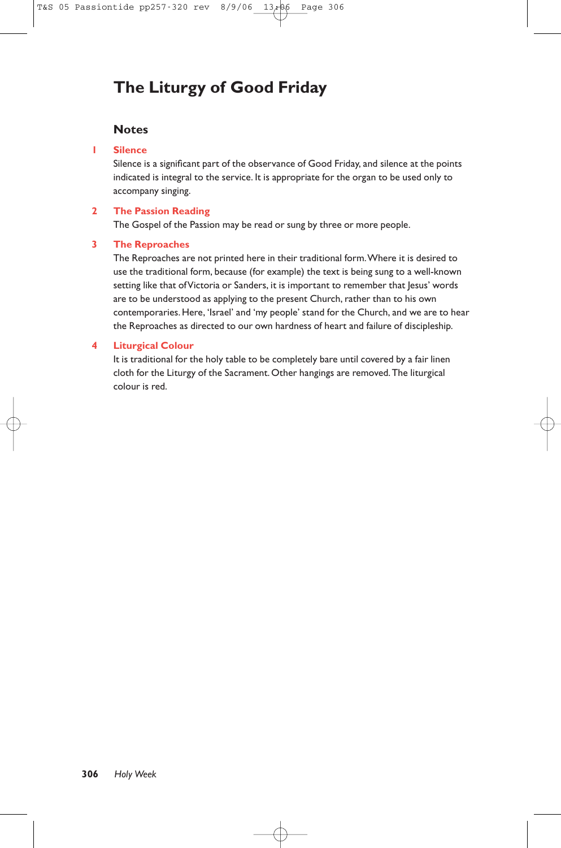# **The Liturgy of Good Friday**

#### **Notes**

#### **1 Silence**

Silence is a significant part of the observance of Good Friday, and silence at the points indicated is integral to the service. It is appropriate for the organ to be used only to accompany singing.

#### **2 The Passion Reading**

The Gospel of the Passion may be read or sung by three or more people.

#### **3 The Reproaches**

The Reproaches are not printed here in their traditional form.Where it is desired to use the traditional form, because (for example) the text is being sung to a well-known setting like that of Victoria or Sanders, it is important to remember that Jesus' words are to be understood as applying to the present Church, rather than to his own contemporaries. Here, 'Israel' and 'my people' stand for the Church, and we are to hear the Reproaches as directed to our own hardness of heart and failure of discipleship.

#### **4 Liturgical Colour**

It is traditional for the holy table to be completely bare until covered by a fair linen cloth for the Liturgy of the Sacrament. Other hangings are removed.The liturgical colour is red.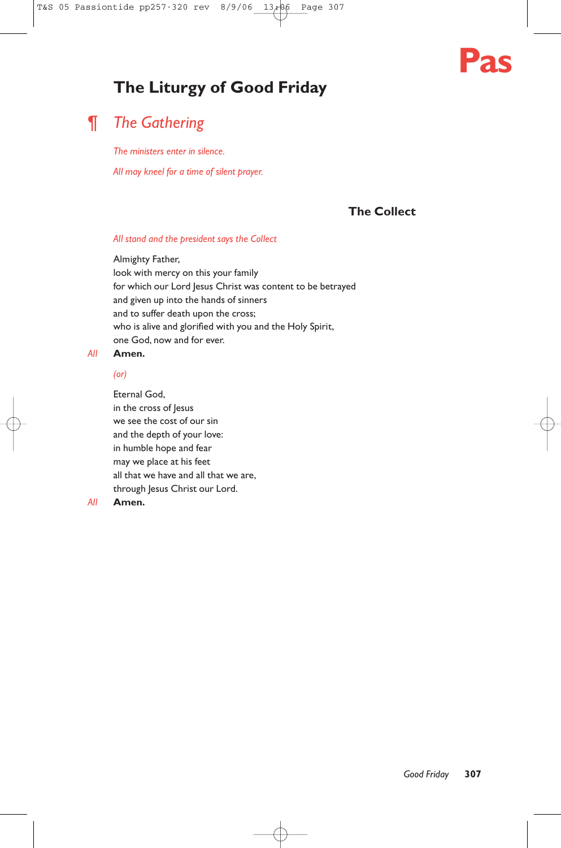# **Pas**

# **The Liturgy of Good Friday**

# ¶ *The Gathering*

*The ministers enter in silence. All may kneel for a time of silent prayer.*

#### **The Collect**

#### *All stand and the president says the Collect*

Almighty Father, look with mercy on this your family for which our Lord Jesus Christ was content to be betrayed and given up into the hands of sinners and to suffer death upon the cross; who is alive and glorified with you and the Holy Spirit, one God, now and for ever.

#### *All* **Amen.**

#### *(or)*

Eternal God, in the cross of Jesus we see the cost of our sin and the depth of your love: in humble hope and fear may we place at his feet all that we have and all that we are, through Jesus Christ our Lord.

#### *All* **Amen.**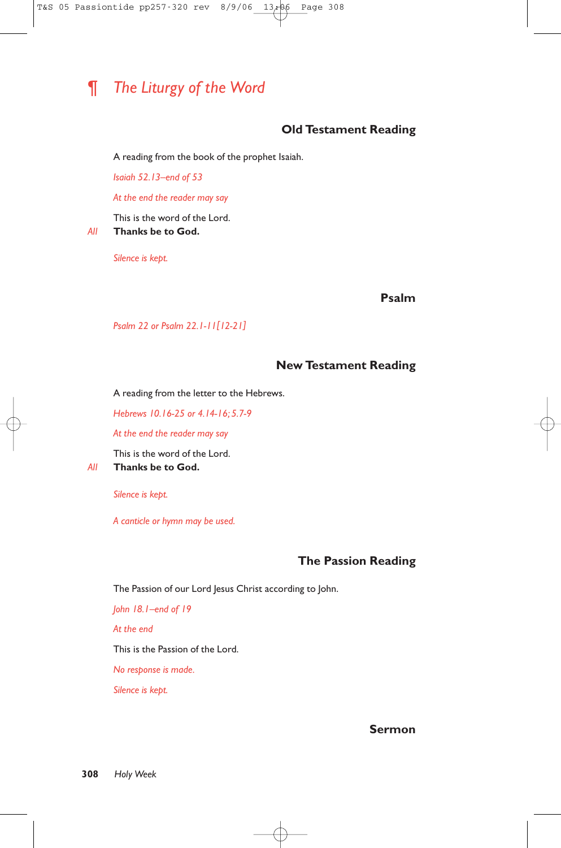# ¶ *The Liturgy of the Word*

#### **Old Testament Reading**

A reading from the book of the prophet Isaiah.

*Isaiah 52.13–end of 53*

*At the end the reader may say*

This is the word of the Lord.

*All* **Thanks be to God.**

*Silence is kept.*

**Psalm**

*Psalm 22 or Psalm 22.1-11[12-21]*

#### **New Testament Reading**

A reading from the letter to the Hebrews.

*Hebrews 10.16-25 or 4.14-16; 5.7-9*

*At the end the reader may say*

This is the word of the Lord.

*All* **Thanks be to God.**

*Silence is kept.*

*A canticle or hymn may be used.*

#### **The Passion Reading**

The Passion of our Lord Jesus Christ according to John.

*John 18.1–end of 19*

*At the end*

This is the Passion of the Lord.

*No response is made.*

*Silence is kept.*

**Sermon**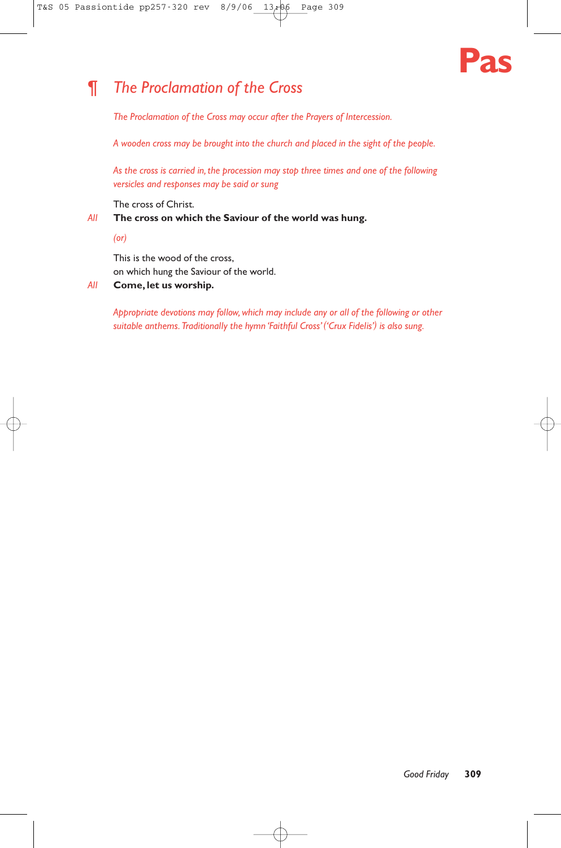

# ¶ *The Proclamation of the Cross*

*The Proclamation of the Cross may occur after the Prayers of Intercession.*

*A wooden cross may be brought into the church and placed in the sight of the people.*

*As the cross is carried in, the procession may stop three times and one of the following versicles and responses may be said or sung*

The cross of Christ.

#### *All* **The cross on which the Saviour of the world was hung.**

*(or)*

This is the wood of the cross, on which hung the Saviour of the world.

#### *All* **Come, let us worship.**

*Appropriate devotions may follow, which may include any or all of the following or other suitable anthems.Traditionally the hymn 'Faithful Cross' ('Crux Fidelis') is also sung.*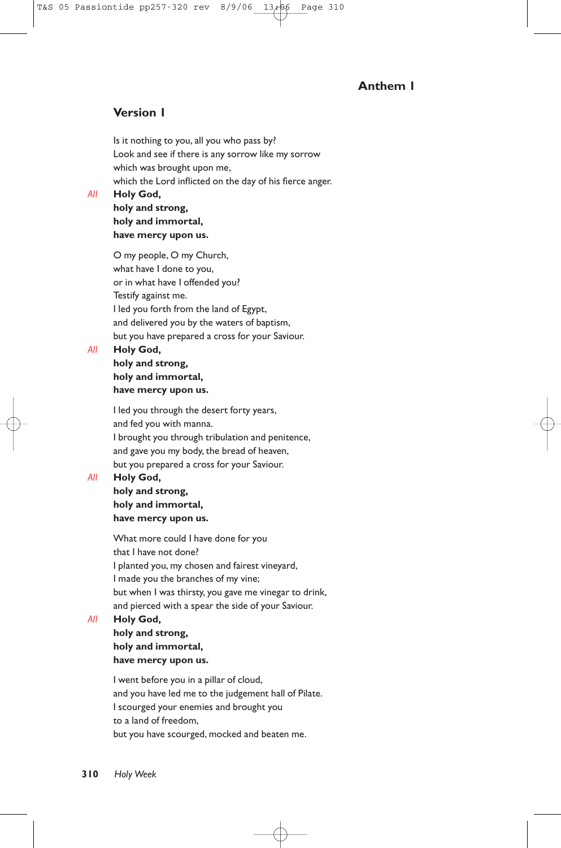#### **Version 1**

Is it nothing to you, all you who pass by? Look and see if there is any sorrow like my sorrow which was brought upon me, which the Lord inflicted on the day of his fierce anger.

#### *All* **Holy God,**

#### **holy and strong, holy and immortal, have mercy upon us.**

O my people, O my Church, what have I done to you, or in what have I offended you? Testify against me. I led you forth from the land of Egypt, and delivered you by the waters of baptism, but you have prepared a cross for your Saviour.

*All* **Holy God,**

#### **holy and strong, holy and immortal, have mercy upon us.**

I led you through the desert forty years, and fed you with manna. I brought you through tribulation and penitence, and gave you my body, the bread of heaven, but you prepared a cross for your Saviour.

#### *All* **Holy God,**

#### **holy and strong, holy and immortal, have mercy upon us.**

What more could I have done for you that I have not done? I planted you, my chosen and fairest vineyard, I made you the branches of my vine; but when I was thirsty, you gave me vinegar to drink, and pierced with a spear the side of your Saviour.

#### *All* **Holy God,**

#### **holy and strong, holy and immortal, have mercy upon us.**

I went before you in a pillar of cloud, and you have led me to the judgement hall of Pilate. I scourged your enemies and brought you to a land of freedom, but you have scourged, mocked and beaten me.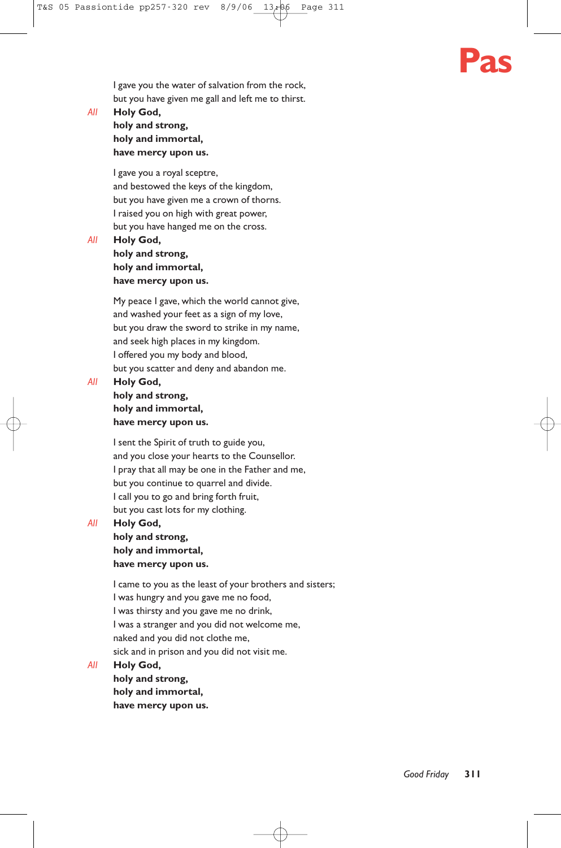**Pas**

I gave you the water of salvation from the rock, but you have given me gall and left me to thirst.

#### *All* **Holy God,**

#### **holy and strong, holy and immortal, have mercy upon us.**

I gave you a royal sceptre, and bestowed the keys of the kingdom, but you have given me a crown of thorns. I raised you on high with great power, but you have hanged me on the cross.

#### *All* **Holy God,**

#### **holy and strong, holy and immortal, have mercy upon us.**

My peace I gave, which the world cannot give, and washed your feet as a sign of my love, but you draw the sword to strike in my name, and seek high places in my kingdom. I offered you my body and blood, but you scatter and deny and abandon me.

#### *All* **Holy God, holy and strong, holy and immortal, have mercy upon us.**

I sent the Spirit of truth to guide you, and you close your hearts to the Counsellor. I pray that all may be one in the Father and me, but you continue to quarrel and divide. I call you to go and bring forth fruit, but you cast lots for my clothing.

#### *All* **Holy God,**

#### **holy and strong, holy and immortal, have mercy upon us.**

I came to you as the least of your brothers and sisters; I was hungry and you gave me no food, I was thirsty and you gave me no drink, I was a stranger and you did not welcome me, naked and you did not clothe me, sick and in prison and you did not visit me.

#### *All* **Holy God,**

**holy and strong, holy and immortal, have mercy upon us.**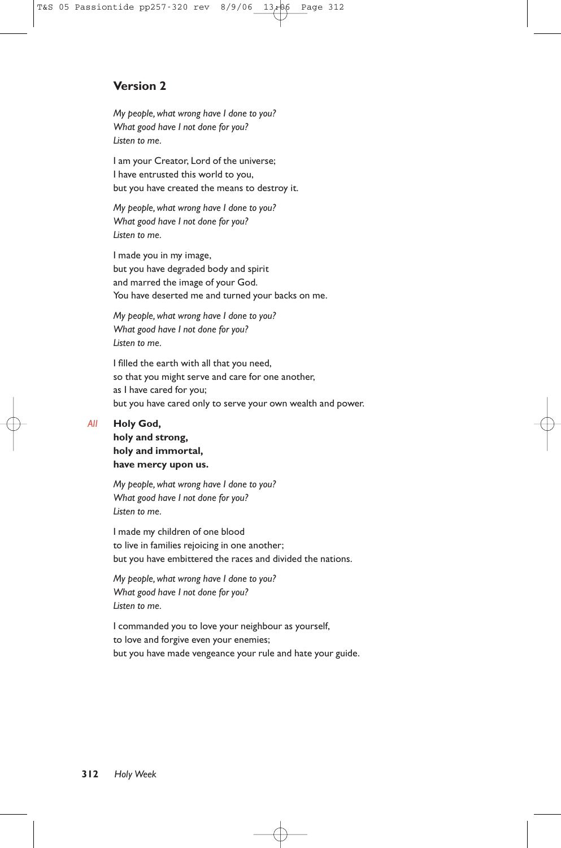#### **Version 2**

*My people, what wrong have I done to you? What good have I not done for you? Listen to me.*

I am your Creator, Lord of the universe; I have entrusted this world to you, but you have created the means to destroy it.

*My people, what wrong have I done to you? What good have I not done for you? Listen to me.*

I made you in my image, but you have degraded body and spirit and marred the image of your God. You have deserted me and turned your backs on me.

*My people,what wrong have I done to you? What good have I not done for you? Listen to me.*

I filled the earth with all that you need, so that you might serve and care for one another, as I have cared for you; but you have cared only to serve your own wealth and power.

#### *All* **Holy God,**

#### **holy and strong, holy and immortal, have mercy upon us.**

*My people, what wrong have I done to you? What good have I not done for you? Listen to me.*

I made my children of one blood to live in families rejoicing in one another; but you have embittered the races and divided the nations.

*My people, what wrong have I done to you? What good have I not done for you? Listen to me.*

I commanded you to love your neighbour as yourself, to love and forgive even your enemies; but you have made vengeance your rule and hate your guide.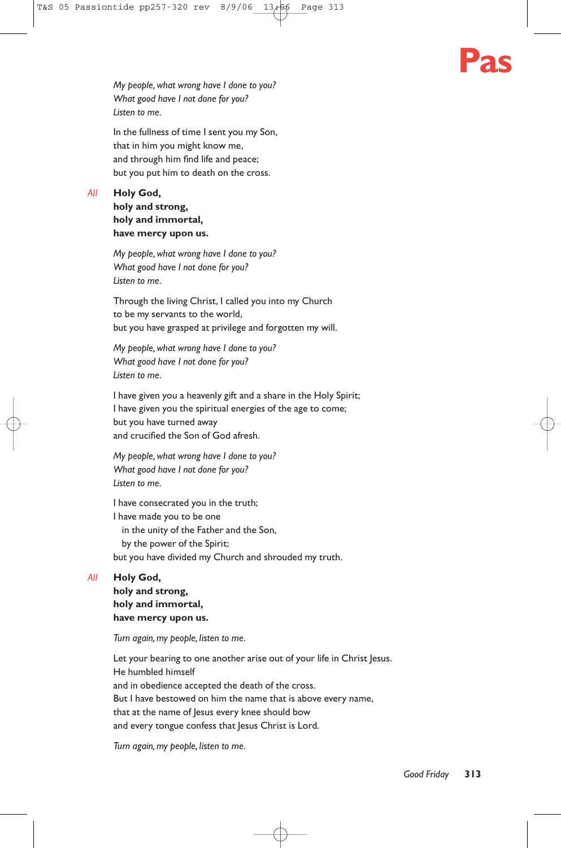

*My people, what wrong have I done to you? What good have I not done for you? Listen to me.*

In the fullness of time I sent you my Son, that in him you might know me, and through him find life and peace; but you put him to death on the cross.

#### *All* **Holy God,**

**holy and strong, holy and immortal, have mercy upon us.**

*My people, what wrong have I done to you? What good have I not done for you? Listen to me.*

Through the living Christ, I called you into my Church to be my servants to the world, but you have grasped at privilege and forgotten my will.

*My people, what wrong have I done to you? What good have I not done for you? Listen to me.*

I have given you a heavenly gift and a share in the Holy Spirit; I have given you the spiritual energies of the age to come; but you have turned away and crucified the Son of God afresh.

*My people, what wrong have I done to you? What good have I not done for you? Listen to me.*

I have consecrated you in the truth; I have made you to be one in the unity of the Father and the Son, by the power of the Spirit; but you have divided my Church and shrouded my truth.

#### *All* **Holy God,**

#### **holy and strong, holy and immortal, have mercy upon us.**

*Turn again, my people, listen to me.*

Let your bearing to one another arise out of your life in Christ Jesus. He humbled himself and in obedience accepted the death of the cross. But I have bestowed on him the name that is above every name, that at the name of Jesus every knee should bow and every tongue confess that Jesus Christ is Lord.

*Turn again, my people, listen to me.*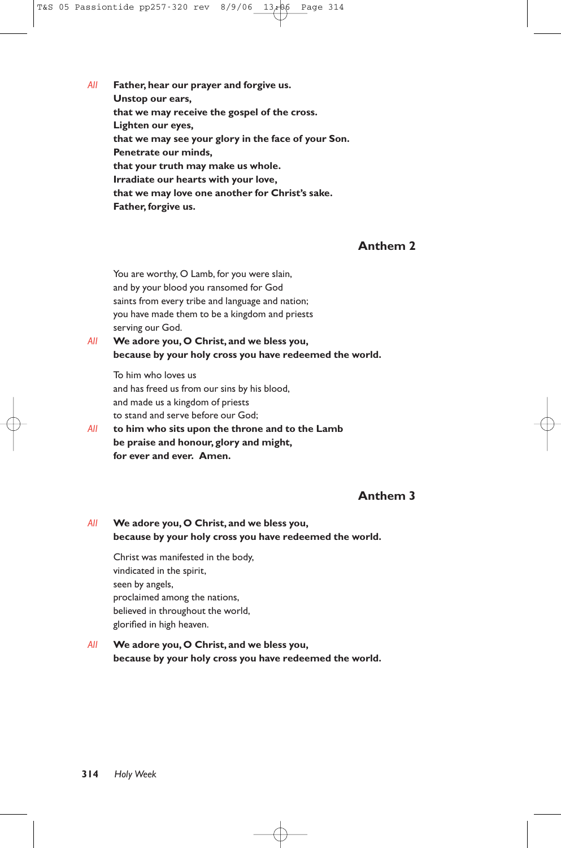*All* **Father, hear our prayer and forgive us. Unstop our ears, that we may receive the gospel of the cross. Lighten our eyes, that we may see your glory in the face of your Son. Penetrate our minds, that your truth may make us whole. Irradiate our hearts with your love, that we may love one another for Christ's sake. Father, forgive us.**

#### **Anthem 2**

You are worthy, O Lamb, for you were slain, and by your blood you ransomed for God saints from every tribe and language and nation; you have made them to be a kingdom and priests serving our God.

*All* **We adore you, O Christ, and we bless you, because by your holy cross you have redeemed the world.**

To him who loves us and has freed us from our sins by his blood, and made us a kingdom of priests to stand and serve before our God;

*All* **to him who sits upon the throne and to the Lamb be praise and honour, glory and might, for ever and ever. Amen.**

#### **Anthem 3**

#### *All* **We adore you, O Christ, and we bless you, because by your holy cross you have redeemed the world.**

Christ was manifested in the body, vindicated in the spirit, seen by angels, proclaimed among the nations, believed in throughout the world, glorified in high heaven.

*All* **We adore you, O Christ, and we bless you, because by your holy cross you have redeemed the world.**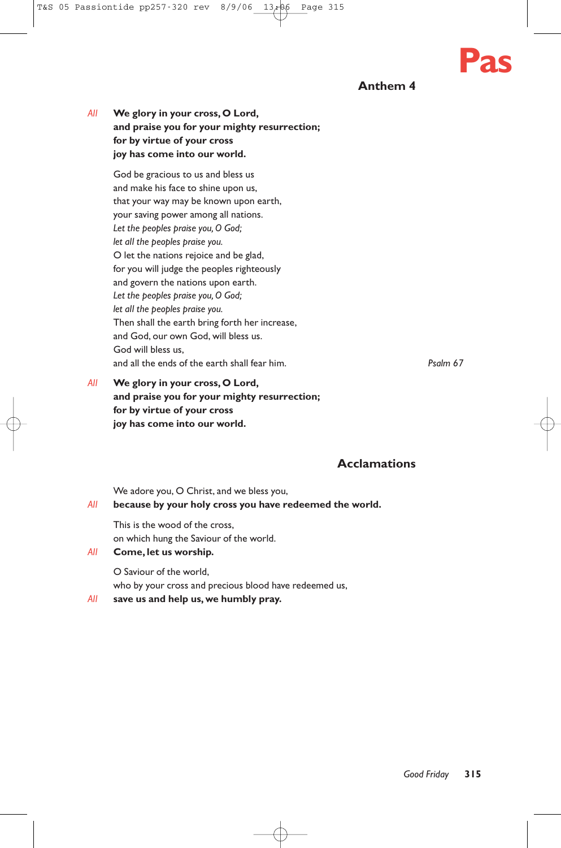#### **Anthem 4**

*All* **We glory in your cross, O Lord, and praise you for your mighty resurrection; for by virtue of your cross joy has come into our world.**

> God be gracious to us and bless us and make his face to shine upon us, that your way may be known upon earth, your saving power among all nations. *Let the peoples praise you, O God; let all the peoples praise you.* O let the nations rejoice and be glad, for you will judge the peoples righteously and govern the nations upon earth. *Let the peoples praise you, O God; let all the peoples praise you.* Then shall the earth bring forth her increase, and God, our own God, will bless us. God will bless us, and all the ends of the earth shall fear him. *Psalm 67*

#### *All* **We glory in your cross, O Lord, and praise you for your mighty resurrection; for by virtue of your cross joy has come into our world.**

#### **Acclamations**

We adore you, O Christ, and we bless you,

#### *All* **because by your holy cross you have redeemed the world.**

This is the wood of the cross, on which hung the Saviour of the world.

#### *All* **Come, let us worship.**

O Saviour of the world,

who by your cross and precious blood have redeemed us,

#### *All* **save us and help us, we humbly pray.**

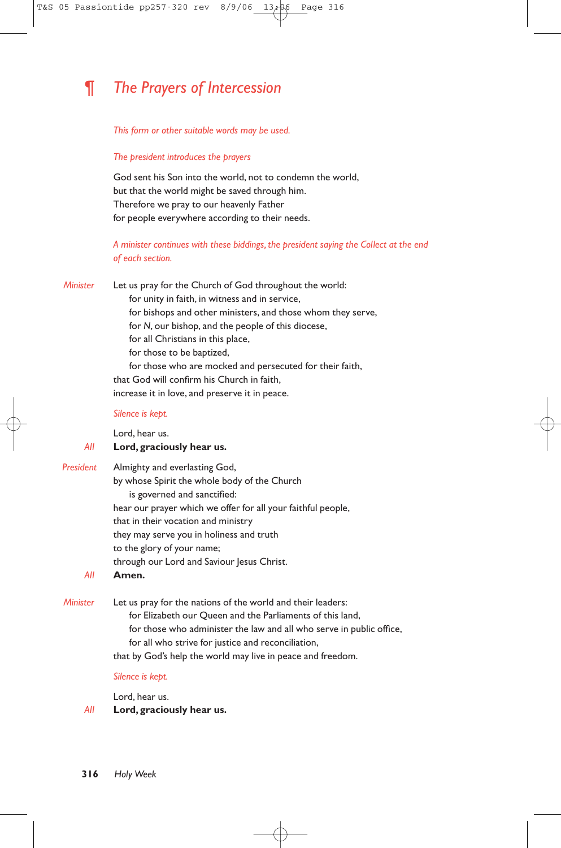# ¶ *The Prayers of Intercession*

#### *This form or other suitable words may be used.*

#### *The president introduces the prayers*

God sent his Son into the world, not to condemn the world, but that the world might be saved through him. Therefore we pray to our heavenly Father for people everywhere according to their needs.

#### *A minister continues with these biddings, the president saying the Collect at the end of each section.*

*Minister* Let us pray for the Church of God throughout the world: for unity in faith, in witness and in service, for bishops and other ministers, and those whom they serve, for *N*, our bishop, and the people of this diocese, for all Christians in this place, for those to be baptized, for those who are mocked and persecuted for their faith, that God will confirm his Church in faith, increase it in love, and preserve it in peace.

#### *Silence is kept.*

Lord, hear us.

#### *All* **Lord, graciously hear us.**

*President* Almighty and everlasting God,

by whose Spirit the whole body of the Church

is governed and sanctified:

hear our prayer which we offer for all your faithful people,

that in their vocation and ministry

they may serve you in holiness and truth

to the glory of your name;

through our Lord and Saviour Jesus Christ.

*All* **Amen.**

*Minister* Let us pray for the nations of the world and their leaders:

for Elizabeth our Queen and the Parliaments of this land, for those who administer the law and all who serve in public office, for all who strive for justice and reconciliation,

that by God's help the world may live in peace and freedom.

#### *Silence is kept.*

Lord, hear us.

*All* **Lord, graciously hear us.**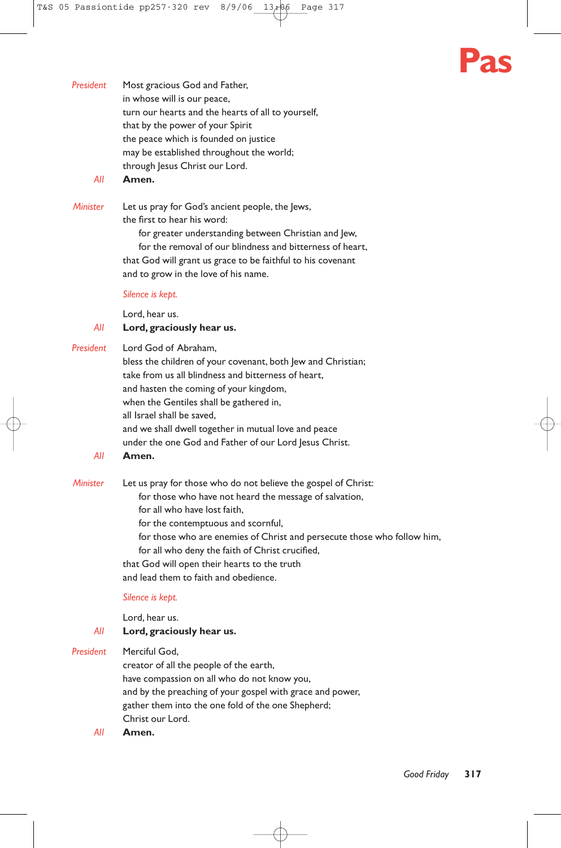# **Pas**

**President** Most gracious God and Father, in whose will is our peace, turn our hearts and the hearts of all to yourself, that by the power of your Spirit the peace which is founded on justice may be established throughout the world; through Jesus Christ our Lord.

*All* **Amen.**

*Minister* Let us pray for God's ancient people, the Jews, the first to hear his word:

> for greater understanding between Christian and Jew, for the removal of our blindness and bitterness of heart, that God will grant us grace to be faithful to his covenant and to grow in the love of his name.

#### *Silence is kept.*

Lord, hear us.

#### *All* **Lord, graciously hear us.**

*President* Lord God of Abraham,

bless the children of your covenant, both Jew and Christian; take from us all blindness and bitterness of heart, and hasten the coming of your kingdom, when the Gentiles shall be gathered in, all Israel shall be saved, and we shall dwell together in mutual love and peace under the one God and Father of our Lord Jesus Christ.

*All* **Amen.**

*Minister* Let us pray for those who do not believe the gospel of Christ: for those who have not heard the message of salvation, for all who have lost faith, for the contemptuous and scornful, for those who are enemies of Christ and persecute those who follow him, for all who deny the faith of Christ crucified, that God will open their hearts to the truth and lead them to faith and obedience.

#### *Silence is kept.*

Lord, hear us.

#### *All* **Lord, graciously hear us.**

*President* Merciful God,

creator of all the people of the earth, have compassion on all who do not know you, and by the preaching of your gospel with grace and power, gather them into the one fold of the one Shepherd; Christ our Lord.

*All* **Amen.**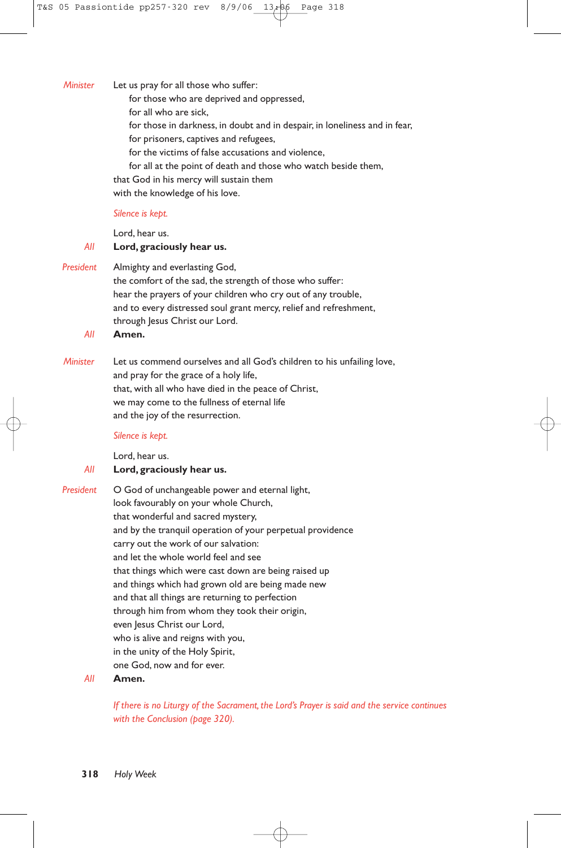*Minister* Let us pray for all those who suffer: for those who are deprived and oppressed, for all who are sick, for those in darkness, in doubt and in despair, in loneliness and in fear, for prisoners, captives and refugees, for the victims of false accusations and violence, for all at the point of death and those who watch beside them, that God in his mercy will sustain them with the knowledge of his love.

#### *Silence is kept.*

Lord, hear us.

#### *All* **Lord, graciously hear us.**

*President* Almighty and everlasting God,

the comfort of the sad, the strength of those who suffer: hear the prayers of your children who cry out of any trouble, and to every distressed soul grant mercy, relief and refreshment, through Jesus Christ our Lord.

*All* **Amen.**

*Minister* Let us commend ourselves and all God's children to his unfailing love, and pray for the grace of a holy life, that, with all who have died in the peace of Christ, we may come to the fullness of eternal life and the joy of the resurrection.

#### *Silence is kept.*

Lord, hear us.

#### *All* **Lord, graciously hear us.**

*President* O God of unchangeable power and eternal light, look favourably on your whole Church, that wonderful and sacred mystery, and by the tranquil operation of your perpetual providence carry out the work of our salvation: and let the whole world feel and see that things which were cast down are being raised up and things which had grown old are being made new and that all things are returning to perfection through him from whom they took their origin, even Jesus Christ our Lord, who is alive and reigns with you, in the unity of the Holy Spirit, one God, now and for ever.

#### *All* **Amen.**

*If there is no Liturgy of the Sacrament, the Lord's Prayer is said and the service continues with the Conclusion (page 320).*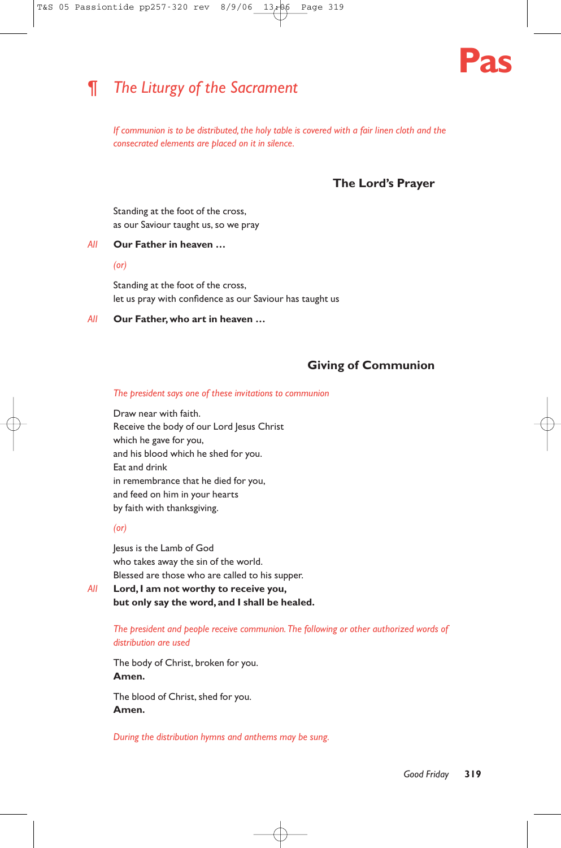

# ¶ *The Liturgy of the Sacrament*

*If communion is to be distributed, the holy table is covered with a fair linen cloth and the consecrated elements are placed on it in silence.*

#### **The Lord's Prayer**

Standing at the foot of the cross, as our Saviour taught us, so we pray

*All* **Our Father in heaven …**

*(or)*

Standing at the foot of the cross, let us pray with confidence as our Saviour has taught us

*All* **Our Father, who art in heaven …**

#### **Giving of Communion**

#### *The president says one of these invitations to communion*

Draw near with faith. Receive the body of our Lord Jesus Christ which he gave for you, and his blood which he shed for you. Eat and drink in remembrance that he died for you, and feed on him in your hearts by faith with thanksgiving.

#### *(or)*

Jesus is the Lamb of God who takes away the sin of the world. Blessed are those who are called to his supper.

*All* **Lord,I am not worthy to receive you, but only say the word, and I shall be healed.**

> *The president and people receive communion.The following or other authorized words of distribution are used*

The body of Christ, broken for you. **Amen.**

The blood of Christ, shed for you. **Amen.**

*During the distribution hymns and anthems may be sung.*